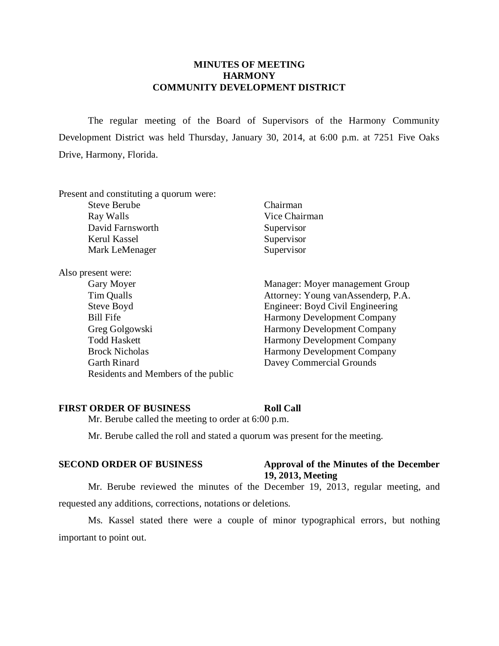# **MINUTES OF MEETING HARMONY COMMUNITY DEVELOPMENT DISTRICT**

The regular meeting of the Board of Supervisors of the Harmony Community Development District was held Thursday, January 30, 2014, at 6:00 p.m. at 7251 Five Oaks Drive, Harmony, Florida.

Present and constituting a quorum were:

| <b>Steve Berube</b> | Chairman      |
|---------------------|---------------|
| Ray Walls           | Vice Chairman |
| David Farnsworth    | Supervisor    |
| Kerul Kassel        | Supervisor    |
| Mark LeMenager      | Supervisor    |
|                     |               |

Also present were:

- Gary Moyer Manager: Moyer management Group Tim Qualls Attorney: Young vanAssenderp, P.A. Steve Boyd Engineer: Boyd Civil Engineering Bill Fife Harmony Development Company Greg Golgowski Harmony Development Company Todd Haskett Harmony Development Company Brock Nicholas Harmony Development Company Garth Rinard Davey Commercial Grounds Residents and Members of the public
- 

## **FIRST ORDER OF BUSINESS Roll Call**

Mr. Berube called the meeting to order at 6:00 p.m.

Mr. Berube called the roll and stated a quorum was present for the meeting.

# **SECOND ORDER OF BUSINESS Approval of the Minutes of the December 19, 2013, Meeting**

Mr. Berube reviewed the minutes of the December 19, 2013, regular meeting, and requested any additions, corrections, notations or deletions.

Ms. Kassel stated there were a couple of minor typographical errors, but nothing important to point out.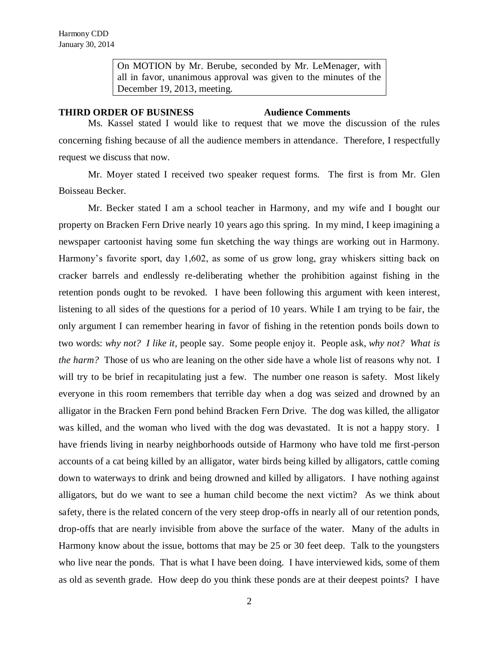On MOTION by Mr. Berube, seconded by Mr. LeMenager, with all in favor, unanimous approval was given to the minutes of the December 19, 2013, meeting.

## **THIRD ORDER OF BUSINESS Audience Comments**

Ms. Kassel stated I would like to request that we move the discussion of the rules concerning fishing because of all the audience members in attendance. Therefore, I respectfully request we discuss that now.

Mr. Moyer stated I received two speaker request forms. The first is from Mr. Glen Boisseau Becker.

Mr. Becker stated I am a school teacher in Harmony, and my wife and I bought our property on Bracken Fern Drive nearly 10 years ago this spring. In my mind, I keep imagining a newspaper cartoonist having some fun sketching the way things are working out in Harmony. Harmony's favorite sport, day 1,602, as some of us grow long, gray whiskers sitting back on cracker barrels and endlessly re-deliberating whether the prohibition against fishing in the retention ponds ought to be revoked. I have been following this argument with keen interest, listening to all sides of the questions for a period of 10 years. While I am trying to be fair, the only argument I can remember hearing in favor of fishing in the retention ponds boils down to two words: *why not? I like it*, people say. Some people enjoy it. People ask, *why not? What is the harm?* Those of us who are leaning on the other side have a whole list of reasons why not. I will try to be brief in recapitulating just a few. The number one reason is safety. Most likely everyone in this room remembers that terrible day when a dog was seized and drowned by an alligator in the Bracken Fern pond behind Bracken Fern Drive. The dog was killed, the alligator was killed, and the woman who lived with the dog was devastated. It is not a happy story. I have friends living in nearby neighborhoods outside of Harmony who have told me first-person accounts of a cat being killed by an alligator, water birds being killed by alligators, cattle coming down to waterways to drink and being drowned and killed by alligators. I have nothing against alligators, but do we want to see a human child become the next victim? As we think about safety, there is the related concern of the very steep drop-offs in nearly all of our retention ponds, drop-offs that are nearly invisible from above the surface of the water. Many of the adults in Harmony know about the issue, bottoms that may be 25 or 30 feet deep. Talk to the youngsters who live near the ponds. That is what I have been doing. I have interviewed kids, some of them as old as seventh grade. How deep do you think these ponds are at their deepest points? I have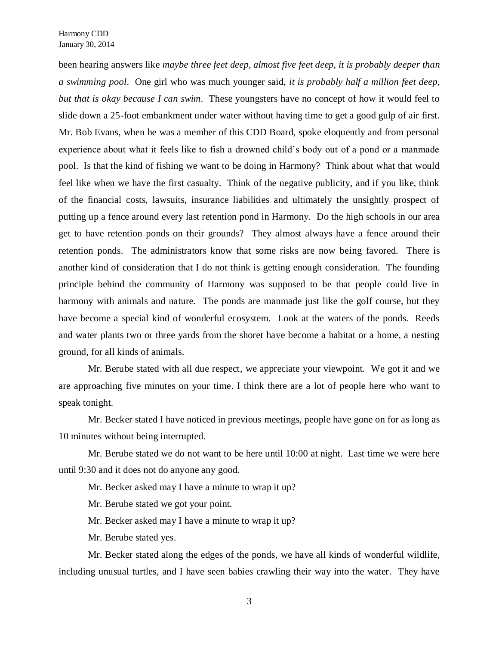been hearing answers like *maybe three feet deep, almost five feet deep, it is probably deeper than a swimming pool*. One girl who was much younger said, *it is probably half a million feet deep, but that is okay because I can swim*. These youngsters have no concept of how it would feel to slide down a 25-foot embankment under water without having time to get a good gulp of air first. Mr. Bob Evans, when he was a member of this CDD Board, spoke eloquently and from personal experience about what it feels like to fish a drowned child's body out of a pond or a manmade pool. Is that the kind of fishing we want to be doing in Harmony? Think about what that would feel like when we have the first casualty. Think of the negative publicity, and if you like, think of the financial costs, lawsuits, insurance liabilities and ultimately the unsightly prospect of putting up a fence around every last retention pond in Harmony. Do the high schools in our area get to have retention ponds on their grounds? They almost always have a fence around their retention ponds. The administrators know that some risks are now being favored. There is another kind of consideration that I do not think is getting enough consideration. The founding principle behind the community of Harmony was supposed to be that people could live in harmony with animals and nature. The ponds are manmade just like the golf course, but they have become a special kind of wonderful ecosystem. Look at the waters of the ponds. Reeds and water plants two or three yards from the shoret have become a habitat or a home, a nesting ground, for all kinds of animals.

Mr. Berube stated with all due respect, we appreciate your viewpoint. We got it and we are approaching five minutes on your time. I think there are a lot of people here who want to speak tonight.

Mr. Becker stated I have noticed in previous meetings, people have gone on for as long as 10 minutes without being interrupted.

Mr. Berube stated we do not want to be here until 10:00 at night. Last time we were here until 9:30 and it does not do anyone any good.

Mr. Becker asked may I have a minute to wrap it up?

Mr. Berube stated we got your point.

Mr. Becker asked may I have a minute to wrap it up?

Mr. Berube stated yes.

Mr. Becker stated along the edges of the ponds, we have all kinds of wonderful wildlife, including unusual turtles, and I have seen babies crawling their way into the water. They have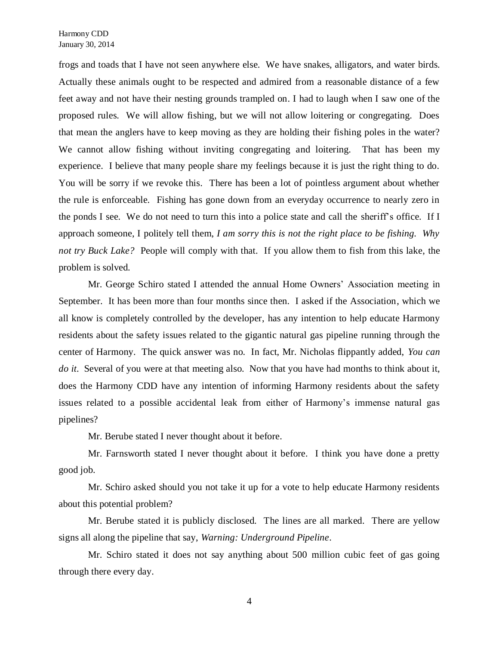frogs and toads that I have not seen anywhere else. We have snakes, alligators, and water birds. Actually these animals ought to be respected and admired from a reasonable distance of a few feet away and not have their nesting grounds trampled on. I had to laugh when I saw one of the proposed rules. We will allow fishing, but we will not allow loitering or congregating. Does that mean the anglers have to keep moving as they are holding their fishing poles in the water? We cannot allow fishing without inviting congregating and loitering. That has been my experience. I believe that many people share my feelings because it is just the right thing to do. You will be sorry if we revoke this. There has been a lot of pointless argument about whether the rule is enforceable. Fishing has gone down from an everyday occurrence to nearly zero in the ponds I see. We do not need to turn this into a police state and call the sheriff's office. If I approach someone, I politely tell them, *I am sorry this is not the right place to be fishing. Why not try Buck Lake?* People will comply with that. If you allow them to fish from this lake, the problem is solved.

Mr. George Schiro stated I attended the annual Home Owners' Association meeting in September. It has been more than four months since then. I asked if the Association, which we all know is completely controlled by the developer, has any intention to help educate Harmony residents about the safety issues related to the gigantic natural gas pipeline running through the center of Harmony. The quick answer was no. In fact, Mr. Nicholas flippantly added, *You can do it*. Several of you were at that meeting also. Now that you have had months to think about it, does the Harmony CDD have any intention of informing Harmony residents about the safety issues related to a possible accidental leak from either of Harmony's immense natural gas pipelines?

Mr. Berube stated I never thought about it before.

Mr. Farnsworth stated I never thought about it before. I think you have done a pretty good job.

Mr. Schiro asked should you not take it up for a vote to help educate Harmony residents about this potential problem?

Mr. Berube stated it is publicly disclosed. The lines are all marked. There are yellow signs all along the pipeline that say, *Warning: Underground Pipeline*.

Mr. Schiro stated it does not say anything about 500 million cubic feet of gas going through there every day.

4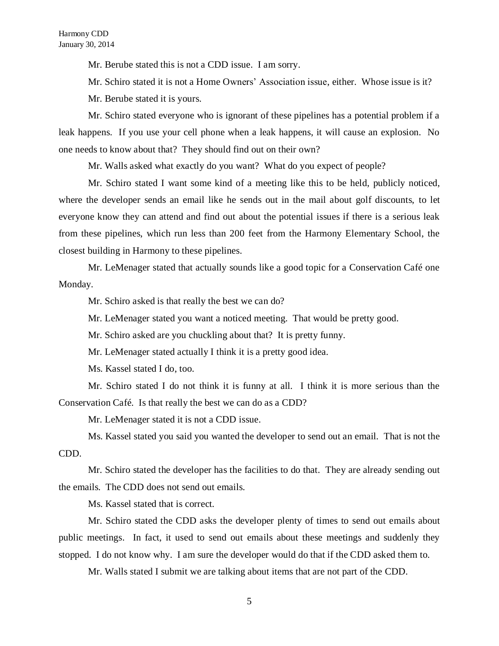Mr. Berube stated this is not a CDD issue. I am sorry.

Mr. Schiro stated it is not a Home Owners' Association issue, either. Whose issue is it? Mr. Berube stated it is yours.

Mr. Schiro stated everyone who is ignorant of these pipelines has a potential problem if a leak happens. If you use your cell phone when a leak happens, it will cause an explosion. No one needs to know about that? They should find out on their own?

Mr. Walls asked what exactly do you want? What do you expect of people?

Mr. Schiro stated I want some kind of a meeting like this to be held, publicly noticed, where the developer sends an email like he sends out in the mail about golf discounts, to let everyone know they can attend and find out about the potential issues if there is a serious leak from these pipelines, which run less than 200 feet from the Harmony Elementary School, the closest building in Harmony to these pipelines.

Mr. LeMenager stated that actually sounds like a good topic for a Conservation Café one Monday.

Mr. Schiro asked is that really the best we can do?

Mr. LeMenager stated you want a noticed meeting. That would be pretty good.

Mr. Schiro asked are you chuckling about that? It is pretty funny.

Mr. LeMenager stated actually I think it is a pretty good idea.

Ms. Kassel stated I do, too.

Mr. Schiro stated I do not think it is funny at all. I think it is more serious than the Conservation Café. Is that really the best we can do as a CDD?

Mr. LeMenager stated it is not a CDD issue.

Ms. Kassel stated you said you wanted the developer to send out an email. That is not the CDD.

Mr. Schiro stated the developer has the facilities to do that. They are already sending out the emails. The CDD does not send out emails.

Ms. Kassel stated that is correct.

Mr. Schiro stated the CDD asks the developer plenty of times to send out emails about public meetings. In fact, it used to send out emails about these meetings and suddenly they stopped. I do not know why. I am sure the developer would do that if the CDD asked them to.

Mr. Walls stated I submit we are talking about items that are not part of the CDD.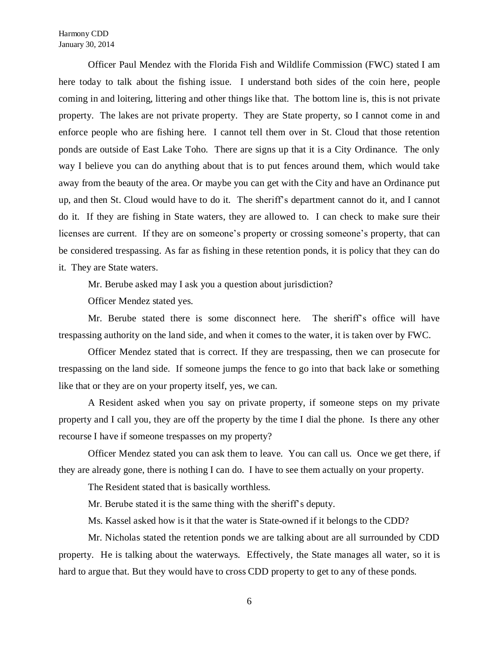Harmony CDD January 30, 2014

Officer Paul Mendez with the Florida Fish and Wildlife Commission (FWC) stated I am here today to talk about the fishing issue. I understand both sides of the coin here, people coming in and loitering, littering and other things like that. The bottom line is, this is not private property. The lakes are not private property. They are State property, so I cannot come in and enforce people who are fishing here. I cannot tell them over in St. Cloud that those retention ponds are outside of East Lake Toho. There are signs up that it is a City Ordinance. The only way I believe you can do anything about that is to put fences around them, which would take away from the beauty of the area. Or maybe you can get with the City and have an Ordinance put up, and then St. Cloud would have to do it. The sheriff's department cannot do it, and I cannot do it. If they are fishing in State waters, they are allowed to. I can check to make sure their licenses are current. If they are on someone's property or crossing someone's property, that can be considered trespassing. As far as fishing in these retention ponds, it is policy that they can do it. They are State waters.

Mr. Berube asked may I ask you a question about jurisdiction?

Officer Mendez stated yes.

Mr. Berube stated there is some disconnect here. The sheriff's office will have trespassing authority on the land side, and when it comes to the water, it is taken over by FWC.

Officer Mendez stated that is correct. If they are trespassing, then we can prosecute for trespassing on the land side. If someone jumps the fence to go into that back lake or something like that or they are on your property itself, yes, we can.

A Resident asked when you say on private property, if someone steps on my private property and I call you, they are off the property by the time I dial the phone. Is there any other recourse I have if someone trespasses on my property?

Officer Mendez stated you can ask them to leave. You can call us. Once we get there, if they are already gone, there is nothing I can do. I have to see them actually on your property.

The Resident stated that is basically worthless.

Mr. Berube stated it is the same thing with the sheriff's deputy.

Ms. Kassel asked how is it that the water is State-owned if it belongs to the CDD?

Mr. Nicholas stated the retention ponds we are talking about are all surrounded by CDD property. He is talking about the waterways. Effectively, the State manages all water, so it is hard to argue that. But they would have to cross CDD property to get to any of these ponds.

6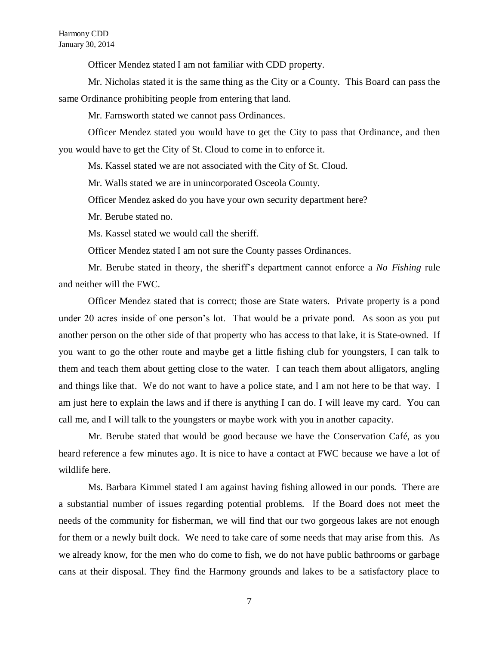Harmony CDD January 30, 2014

Officer Mendez stated I am not familiar with CDD property.

Mr. Nicholas stated it is the same thing as the City or a County. This Board can pass the same Ordinance prohibiting people from entering that land.

Mr. Farnsworth stated we cannot pass Ordinances.

Officer Mendez stated you would have to get the City to pass that Ordinance, and then you would have to get the City of St. Cloud to come in to enforce it.

Ms. Kassel stated we are not associated with the City of St. Cloud.

Mr. Walls stated we are in unincorporated Osceola County.

Officer Mendez asked do you have your own security department here?

Mr. Berube stated no.

Ms. Kassel stated we would call the sheriff.

Officer Mendez stated I am not sure the County passes Ordinances.

Mr. Berube stated in theory, the sheriff's department cannot enforce a *No Fishing* rule and neither will the FWC.

Officer Mendez stated that is correct; those are State waters. Private property is a pond under 20 acres inside of one person's lot. That would be a private pond. As soon as you put another person on the other side of that property who has access to that lake, it is State-owned. If you want to go the other route and maybe get a little fishing club for youngsters, I can talk to them and teach them about getting close to the water. I can teach them about alligators, angling and things like that. We do not want to have a police state, and I am not here to be that way. I am just here to explain the laws and if there is anything I can do. I will leave my card. You can call me, and I will talk to the youngsters or maybe work with you in another capacity.

Mr. Berube stated that would be good because we have the Conservation Café, as you heard reference a few minutes ago. It is nice to have a contact at FWC because we have a lot of wildlife here.

Ms. Barbara Kimmel stated I am against having fishing allowed in our ponds. There are a substantial number of issues regarding potential problems. If the Board does not meet the needs of the community for fisherman, we will find that our two gorgeous lakes are not enough for them or a newly built dock. We need to take care of some needs that may arise from this. As we already know, for the men who do come to fish, we do not have public bathrooms or garbage cans at their disposal. They find the Harmony grounds and lakes to be a satisfactory place to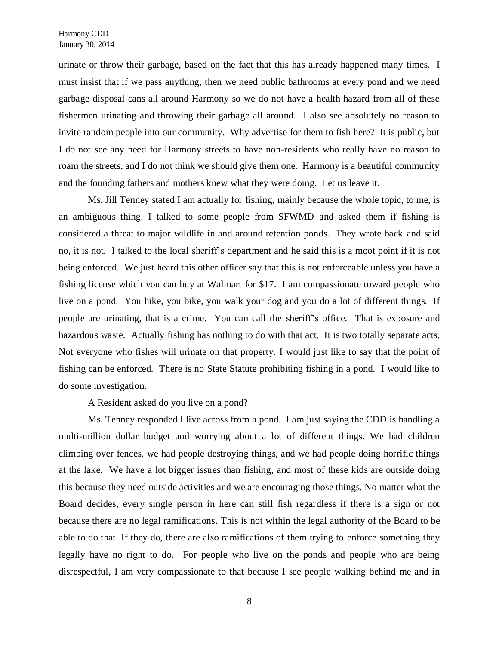urinate or throw their garbage, based on the fact that this has already happened many times. I must insist that if we pass anything, then we need public bathrooms at every pond and we need garbage disposal cans all around Harmony so we do not have a health hazard from all of these fishermen urinating and throwing their garbage all around. I also see absolutely no reason to invite random people into our community. Why advertise for them to fish here? It is public, but I do not see any need for Harmony streets to have non-residents who really have no reason to roam the streets, and I do not think we should give them one. Harmony is a beautiful community and the founding fathers and mothers knew what they were doing. Let us leave it.

Ms. Jill Tenney stated I am actually for fishing, mainly because the whole topic, to me, is an ambiguous thing. I talked to some people from SFWMD and asked them if fishing is considered a threat to major wildlife in and around retention ponds. They wrote back and said no, it is not. I talked to the local sheriff's department and he said this is a moot point if it is not being enforced. We just heard this other officer say that this is not enforceable unless you have a fishing license which you can buy at Walmart for \$17. I am compassionate toward people who live on a pond. You hike, you bike, you walk your dog and you do a lot of different things. If people are urinating, that is a crime. You can call the sheriff's office. That is exposure and hazardous waste. Actually fishing has nothing to do with that act. It is two totally separate acts. Not everyone who fishes will urinate on that property. I would just like to say that the point of fishing can be enforced. There is no State Statute prohibiting fishing in a pond. I would like to do some investigation.

A Resident asked do you live on a pond?

Ms. Tenney responded I live across from a pond. I am just saying the CDD is handling a multi-million dollar budget and worrying about a lot of different things. We had children climbing over fences, we had people destroying things, and we had people doing horrific things at the lake. We have a lot bigger issues than fishing, and most of these kids are outside doing this because they need outside activities and we are encouraging those things. No matter what the Board decides, every single person in here can still fish regardless if there is a sign or not because there are no legal ramifications. This is not within the legal authority of the Board to be able to do that. If they do, there are also ramifications of them trying to enforce something they legally have no right to do. For people who live on the ponds and people who are being disrespectful, I am very compassionate to that because I see people walking behind me and in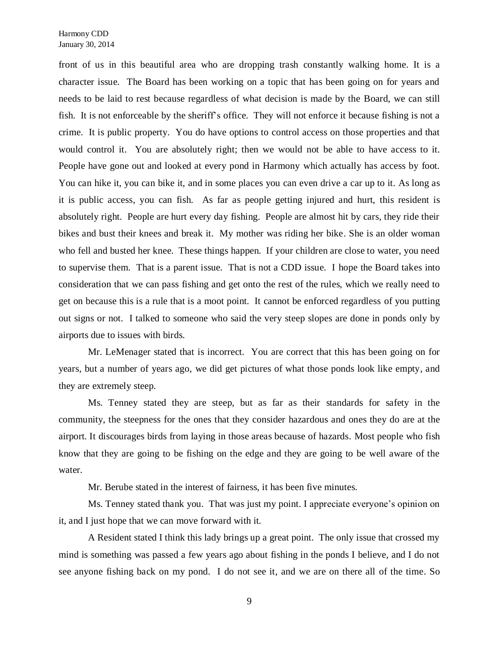front of us in this beautiful area who are dropping trash constantly walking home. It is a character issue. The Board has been working on a topic that has been going on for years and needs to be laid to rest because regardless of what decision is made by the Board, we can still fish. It is not enforceable by the sheriff's office. They will not enforce it because fishing is not a crime. It is public property. You do have options to control access on those properties and that would control it. You are absolutely right; then we would not be able to have access to it. People have gone out and looked at every pond in Harmony which actually has access by foot. You can hike it, you can bike it, and in some places you can even drive a car up to it. As long as it is public access, you can fish. As far as people getting injured and hurt, this resident is absolutely right. People are hurt every day fishing. People are almost hit by cars, they ride their bikes and bust their knees and break it. My mother was riding her bike. She is an older woman who fell and busted her knee. These things happen. If your children are close to water, you need to supervise them. That is a parent issue. That is not a CDD issue. I hope the Board takes into consideration that we can pass fishing and get onto the rest of the rules, which we really need to get on because this is a rule that is a moot point. It cannot be enforced regardless of you putting out signs or not. I talked to someone who said the very steep slopes are done in ponds only by airports due to issues with birds.

Mr. LeMenager stated that is incorrect. You are correct that this has been going on for years, but a number of years ago, we did get pictures of what those ponds look like empty, and they are extremely steep.

Ms. Tenney stated they are steep, but as far as their standards for safety in the community, the steepness for the ones that they consider hazardous and ones they do are at the airport. It discourages birds from laying in those areas because of hazards. Most people who fish know that they are going to be fishing on the edge and they are going to be well aware of the water.

Mr. Berube stated in the interest of fairness, it has been five minutes.

Ms. Tenney stated thank you. That was just my point. I appreciate everyone's opinion on it, and I just hope that we can move forward with it.

A Resident stated I think this lady brings up a great point. The only issue that crossed my mind is something was passed a few years ago about fishing in the ponds I believe, and I do not see anyone fishing back on my pond. I do not see it, and we are on there all of the time. So

9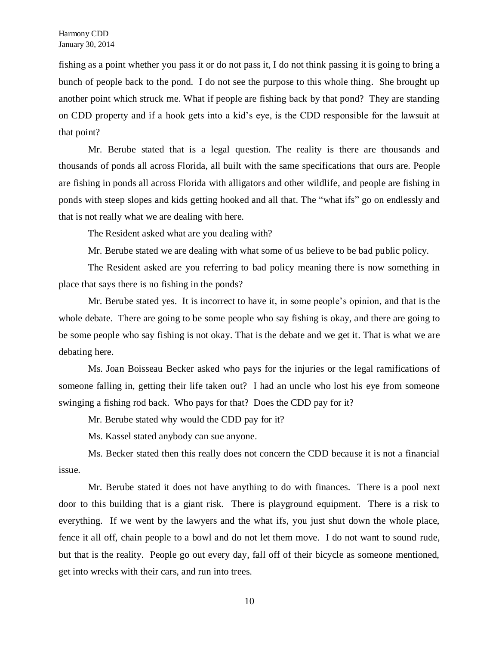fishing as a point whether you pass it or do not pass it, I do not think passing it is going to bring a bunch of people back to the pond. I do not see the purpose to this whole thing. She brought up another point which struck me. What if people are fishing back by that pond? They are standing on CDD property and if a hook gets into a kid's eye, is the CDD responsible for the lawsuit at that point?

Mr. Berube stated that is a legal question. The reality is there are thousands and thousands of ponds all across Florida, all built with the same specifications that ours are. People are fishing in ponds all across Florida with alligators and other wildlife, and people are fishing in ponds with steep slopes and kids getting hooked and all that. The "what ifs" go on endlessly and that is not really what we are dealing with here.

The Resident asked what are you dealing with?

Mr. Berube stated we are dealing with what some of us believe to be bad public policy.

The Resident asked are you referring to bad policy meaning there is now something in place that says there is no fishing in the ponds?

Mr. Berube stated yes. It is incorrect to have it, in some people's opinion, and that is the whole debate. There are going to be some people who say fishing is okay, and there are going to be some people who say fishing is not okay. That is the debate and we get it. That is what we are debating here.

Ms. Joan Boisseau Becker asked who pays for the injuries or the legal ramifications of someone falling in, getting their life taken out? I had an uncle who lost his eye from someone swinging a fishing rod back. Who pays for that? Does the CDD pay for it?

Mr. Berube stated why would the CDD pay for it?

Ms. Kassel stated anybody can sue anyone.

Ms. Becker stated then this really does not concern the CDD because it is not a financial issue.

Mr. Berube stated it does not have anything to do with finances. There is a pool next door to this building that is a giant risk. There is playground equipment. There is a risk to everything. If we went by the lawyers and the what ifs, you just shut down the whole place, fence it all off, chain people to a bowl and do not let them move. I do not want to sound rude, but that is the reality. People go out every day, fall off of their bicycle as someone mentioned, get into wrecks with their cars, and run into trees.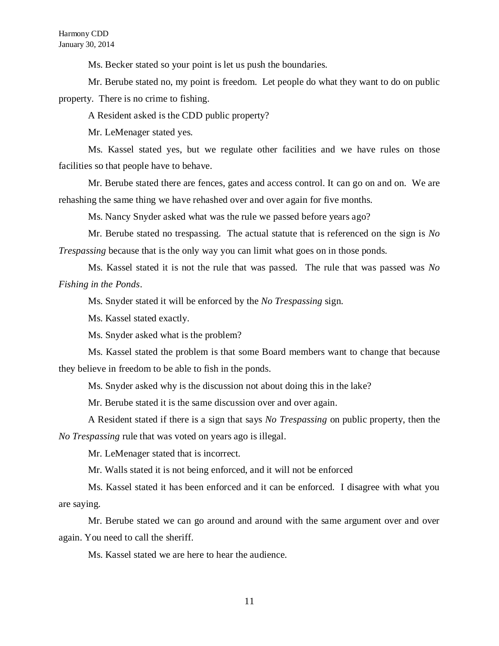Ms. Becker stated so your point is let us push the boundaries.

Mr. Berube stated no, my point is freedom. Let people do what they want to do on public property. There is no crime to fishing.

A Resident asked is the CDD public property?

Mr. LeMenager stated yes.

Ms. Kassel stated yes, but we regulate other facilities and we have rules on those facilities so that people have to behave.

Mr. Berube stated there are fences, gates and access control. It can go on and on. We are rehashing the same thing we have rehashed over and over again for five months.

Ms. Nancy Snyder asked what was the rule we passed before years ago?

Mr. Berube stated no trespassing. The actual statute that is referenced on the sign is *No Trespassing* because that is the only way you can limit what goes on in those ponds.

Ms. Kassel stated it is not the rule that was passed. The rule that was passed was *No Fishing in the Ponds*.

Ms. Snyder stated it will be enforced by the *No Trespassing* sign.

Ms. Kassel stated exactly.

Ms. Snyder asked what is the problem?

Ms. Kassel stated the problem is that some Board members want to change that because they believe in freedom to be able to fish in the ponds.

Ms. Snyder asked why is the discussion not about doing this in the lake?

Mr. Berube stated it is the same discussion over and over again.

A Resident stated if there is a sign that says *No Trespassing* on public property, then the *No Trespassing* rule that was voted on years ago is illegal.

Mr. LeMenager stated that is incorrect.

Mr. Walls stated it is not being enforced, and it will not be enforced

Ms. Kassel stated it has been enforced and it can be enforced. I disagree with what you are saying.

Mr. Berube stated we can go around and around with the same argument over and over again. You need to call the sheriff.

Ms. Kassel stated we are here to hear the audience.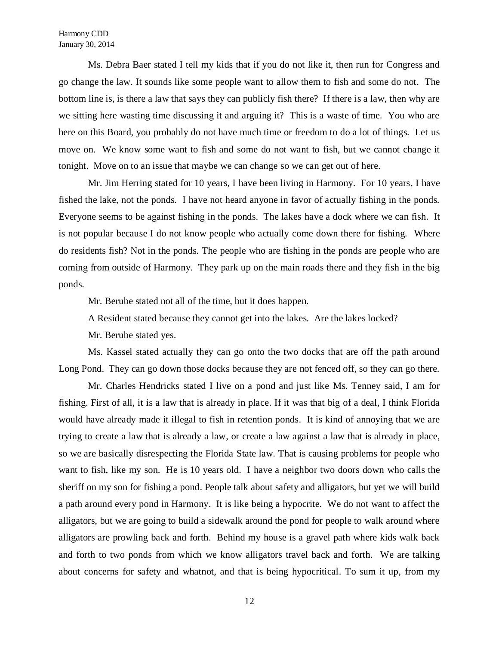Ms. Debra Baer stated I tell my kids that if you do not like it, then run for Congress and go change the law. It sounds like some people want to allow them to fish and some do not. The bottom line is, is there a law that says they can publicly fish there? If there is a law, then why are we sitting here wasting time discussing it and arguing it? This is a waste of time. You who are here on this Board, you probably do not have much time or freedom to do a lot of things. Let us move on. We know some want to fish and some do not want to fish, but we cannot change it tonight. Move on to an issue that maybe we can change so we can get out of here.

Mr. Jim Herring stated for 10 years, I have been living in Harmony. For 10 years, I have fished the lake, not the ponds. I have not heard anyone in favor of actually fishing in the ponds. Everyone seems to be against fishing in the ponds. The lakes have a dock where we can fish. It is not popular because I do not know people who actually come down there for fishing. Where do residents fish? Not in the ponds. The people who are fishing in the ponds are people who are coming from outside of Harmony. They park up on the main roads there and they fish in the big ponds.

Mr. Berube stated not all of the time, but it does happen.

A Resident stated because they cannot get into the lakes. Are the lakes locked?

Mr. Berube stated yes.

Ms. Kassel stated actually they can go onto the two docks that are off the path around Long Pond. They can go down those docks because they are not fenced off, so they can go there.

Mr. Charles Hendricks stated I live on a pond and just like Ms. Tenney said, I am for fishing. First of all, it is a law that is already in place. If it was that big of a deal, I think Florida would have already made it illegal to fish in retention ponds. It is kind of annoying that we are trying to create a law that is already a law, or create a law against a law that is already in place, so we are basically disrespecting the Florida State law. That is causing problems for people who want to fish, like my son. He is 10 years old. I have a neighbor two doors down who calls the sheriff on my son for fishing a pond. People talk about safety and alligators, but yet we will build a path around every pond in Harmony. It is like being a hypocrite. We do not want to affect the alligators, but we are going to build a sidewalk around the pond for people to walk around where alligators are prowling back and forth. Behind my house is a gravel path where kids walk back and forth to two ponds from which we know alligators travel back and forth. We are talking about concerns for safety and whatnot, and that is being hypocritical. To sum it up, from my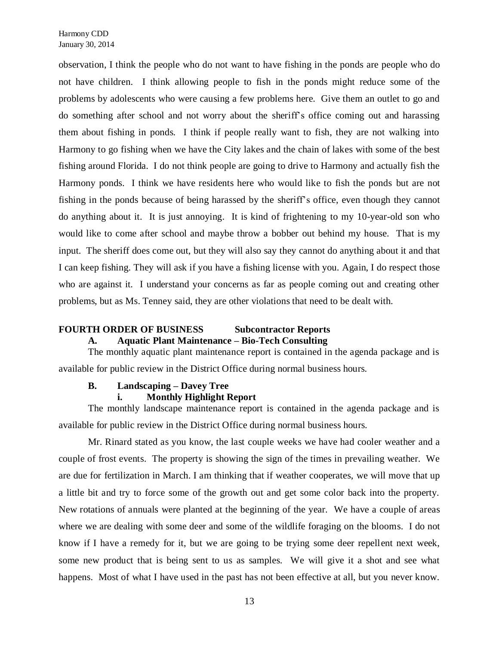observation, I think the people who do not want to have fishing in the ponds are people who do not have children. I think allowing people to fish in the ponds might reduce some of the problems by adolescents who were causing a few problems here. Give them an outlet to go and do something after school and not worry about the sheriff's office coming out and harassing them about fishing in ponds. I think if people really want to fish, they are not walking into Harmony to go fishing when we have the City lakes and the chain of lakes with some of the best fishing around Florida. I do not think people are going to drive to Harmony and actually fish the Harmony ponds. I think we have residents here who would like to fish the ponds but are not fishing in the ponds because of being harassed by the sheriff's office, even though they cannot do anything about it. It is just annoying. It is kind of frightening to my 10-year-old son who would like to come after school and maybe throw a bobber out behind my house. That is my input. The sheriff does come out, but they will also say they cannot do anything about it and that I can keep fishing. They will ask if you have a fishing license with you. Again, I do respect those who are against it. I understand your concerns as far as people coming out and creating other problems, but as Ms. Tenney said, they are other violations that need to be dealt with.

# **FOURTH ORDER OF BUSINESS Subcontractor Reports**

# **A. Aquatic Plant Maintenance – Bio-Tech Consulting**

The monthly aquatic plant maintenance report is contained in the agenda package and is available for public review in the District Office during normal business hours.

## **B. Landscaping – Davey Tree**

# **i. Monthly Highlight Report**

The monthly landscape maintenance report is contained in the agenda package and is available for public review in the District Office during normal business hours.

Mr. Rinard stated as you know, the last couple weeks we have had cooler weather and a couple of frost events. The property is showing the sign of the times in prevailing weather. We are due for fertilization in March. I am thinking that if weather cooperates, we will move that up a little bit and try to force some of the growth out and get some color back into the property. New rotations of annuals were planted at the beginning of the year. We have a couple of areas where we are dealing with some deer and some of the wildlife foraging on the blooms. I do not know if I have a remedy for it, but we are going to be trying some deer repellent next week, some new product that is being sent to us as samples. We will give it a shot and see what happens. Most of what I have used in the past has not been effective at all, but you never know.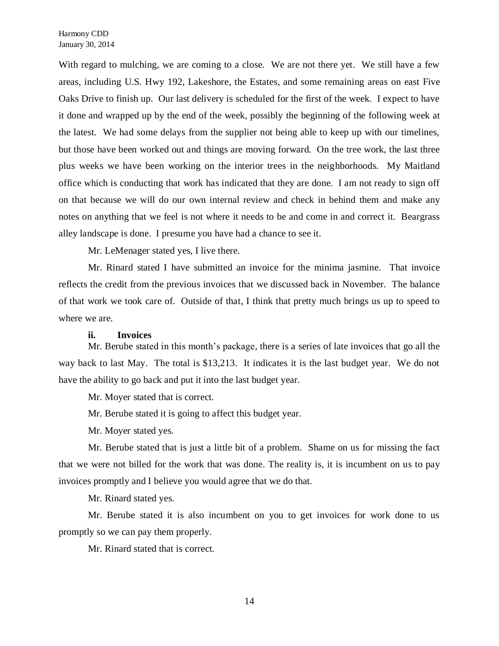With regard to mulching, we are coming to a close. We are not there yet. We still have a few areas, including U.S. Hwy 192, Lakeshore, the Estates, and some remaining areas on east Five Oaks Drive to finish up. Our last delivery is scheduled for the first of the week. I expect to have it done and wrapped up by the end of the week, possibly the beginning of the following week at the latest. We had some delays from the supplier not being able to keep up with our timelines, but those have been worked out and things are moving forward. On the tree work, the last three plus weeks we have been working on the interior trees in the neighborhoods. My Maitland office which is conducting that work has indicated that they are done. I am not ready to sign off on that because we will do our own internal review and check in behind them and make any notes on anything that we feel is not where it needs to be and come in and correct it. Beargrass alley landscape is done. I presume you have had a chance to see it.

Mr. LeMenager stated yes, I live there.

Mr. Rinard stated I have submitted an invoice for the minima jasmine. That invoice reflects the credit from the previous invoices that we discussed back in November. The balance of that work we took care of. Outside of that, I think that pretty much brings us up to speed to where we are.

## **ii. Invoices**

Mr. Berube stated in this month's package, there is a series of late invoices that go all the way back to last May. The total is \$13,213. It indicates it is the last budget year. We do not have the ability to go back and put it into the last budget year.

Mr. Moyer stated that is correct.

Mr. Berube stated it is going to affect this budget year.

Mr. Moyer stated yes.

Mr. Berube stated that is just a little bit of a problem. Shame on us for missing the fact that we were not billed for the work that was done. The reality is, it is incumbent on us to pay invoices promptly and I believe you would agree that we do that.

Mr. Rinard stated yes.

Mr. Berube stated it is also incumbent on you to get invoices for work done to us promptly so we can pay them properly.

Mr. Rinard stated that is correct.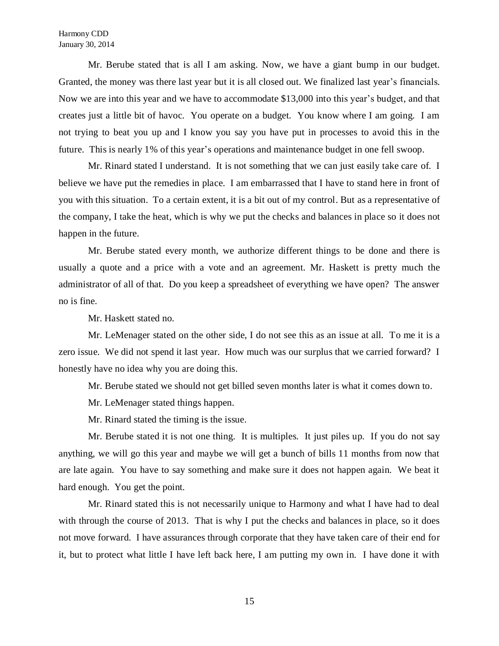Mr. Berube stated that is all I am asking. Now, we have a giant bump in our budget. Granted, the money was there last year but it is all closed out. We finalized last year's financials. Now we are into this year and we have to accommodate \$13,000 into this year's budget, and that creates just a little bit of havoc. You operate on a budget. You know where I am going. I am not trying to beat you up and I know you say you have put in processes to avoid this in the future. This is nearly 1% of this year's operations and maintenance budget in one fell swoop.

Mr. Rinard stated I understand. It is not something that we can just easily take care of. I believe we have put the remedies in place. I am embarrassed that I have to stand here in front of you with this situation. To a certain extent, it is a bit out of my control. But as a representative of the company, I take the heat, which is why we put the checks and balances in place so it does not happen in the future.

Mr. Berube stated every month, we authorize different things to be done and there is usually a quote and a price with a vote and an agreement. Mr. Haskett is pretty much the administrator of all of that. Do you keep a spreadsheet of everything we have open? The answer no is fine.

Mr. Haskett stated no.

Mr. LeMenager stated on the other side, I do not see this as an issue at all. To me it is a zero issue. We did not spend it last year. How much was our surplus that we carried forward? I honestly have no idea why you are doing this.

Mr. Berube stated we should not get billed seven months later is what it comes down to.

Mr. LeMenager stated things happen.

Mr. Rinard stated the timing is the issue.

Mr. Berube stated it is not one thing. It is multiples. It just piles up. If you do not say anything, we will go this year and maybe we will get a bunch of bills 11 months from now that are late again. You have to say something and make sure it does not happen again. We beat it hard enough. You get the point.

Mr. Rinard stated this is not necessarily unique to Harmony and what I have had to deal with through the course of 2013. That is why I put the checks and balances in place, so it does not move forward. I have assurances through corporate that they have taken care of their end for it, but to protect what little I have left back here, I am putting my own in. I have done it with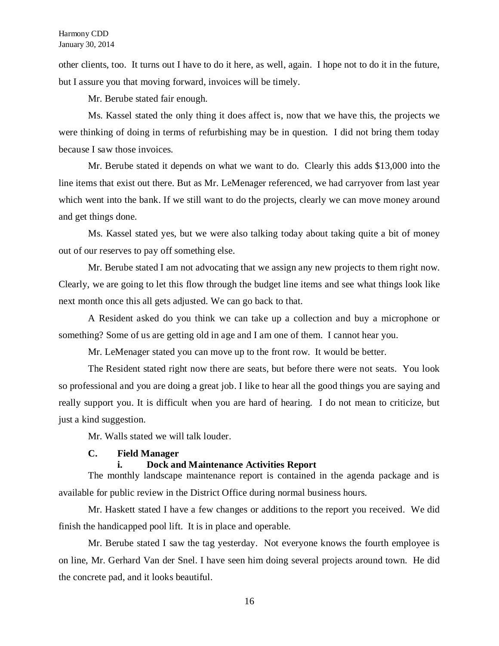other clients, too. It turns out I have to do it here, as well, again. I hope not to do it in the future, but I assure you that moving forward, invoices will be timely.

Mr. Berube stated fair enough.

Ms. Kassel stated the only thing it does affect is, now that we have this, the projects we were thinking of doing in terms of refurbishing may be in question. I did not bring them today because I saw those invoices.

Mr. Berube stated it depends on what we want to do. Clearly this adds \$13,000 into the line items that exist out there. But as Mr. LeMenager referenced, we had carryover from last year which went into the bank. If we still want to do the projects, clearly we can move money around and get things done.

Ms. Kassel stated yes, but we were also talking today about taking quite a bit of money out of our reserves to pay off something else.

Mr. Berube stated I am not advocating that we assign any new projects to them right now. Clearly, we are going to let this flow through the budget line items and see what things look like next month once this all gets adjusted. We can go back to that.

A Resident asked do you think we can take up a collection and buy a microphone or something? Some of us are getting old in age and I am one of them. I cannot hear you.

Mr. LeMenager stated you can move up to the front row. It would be better.

The Resident stated right now there are seats, but before there were not seats. You look so professional and you are doing a great job. I like to hear all the good things you are saying and really support you. It is difficult when you are hard of hearing. I do not mean to criticize, but just a kind suggestion.

Mr. Walls stated we will talk louder.

## **C. Field Manager**

## **i. Dock and Maintenance Activities Report**

The monthly landscape maintenance report is contained in the agenda package and is available for public review in the District Office during normal business hours.

Mr. Haskett stated I have a few changes or additions to the report you received. We did finish the handicapped pool lift. It is in place and operable.

Mr. Berube stated I saw the tag yesterday. Not everyone knows the fourth employee is on line, Mr. Gerhard Van der Snel. I have seen him doing several projects around town. He did the concrete pad, and it looks beautiful.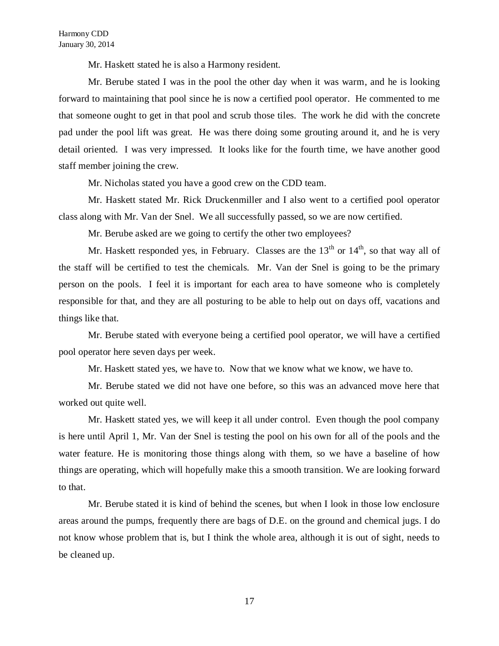Mr. Haskett stated he is also a Harmony resident.

Mr. Berube stated I was in the pool the other day when it was warm, and he is looking forward to maintaining that pool since he is now a certified pool operator. He commented to me that someone ought to get in that pool and scrub those tiles. The work he did with the concrete pad under the pool lift was great. He was there doing some grouting around it, and he is very detail oriented. I was very impressed. It looks like for the fourth time, we have another good staff member joining the crew.

Mr. Nicholas stated you have a good crew on the CDD team.

Mr. Haskett stated Mr. Rick Druckenmiller and I also went to a certified pool operator class along with Mr. Van der Snel. We all successfully passed, so we are now certified.

Mr. Berube asked are we going to certify the other two employees?

Mr. Haskett responded yes, in February. Classes are the  $13<sup>th</sup>$  or  $14<sup>th</sup>$ , so that way all of the staff will be certified to test the chemicals. Mr. Van der Snel is going to be the primary person on the pools. I feel it is important for each area to have someone who is completely responsible for that, and they are all posturing to be able to help out on days off, vacations and things like that.

Mr. Berube stated with everyone being a certified pool operator, we will have a certified pool operator here seven days per week.

Mr. Haskett stated yes, we have to. Now that we know what we know, we have to.

Mr. Berube stated we did not have one before, so this was an advanced move here that worked out quite well.

Mr. Haskett stated yes, we will keep it all under control. Even though the pool company is here until April 1, Mr. Van der Snel is testing the pool on his own for all of the pools and the water feature. He is monitoring those things along with them, so we have a baseline of how things are operating, which will hopefully make this a smooth transition. We are looking forward to that.

Mr. Berube stated it is kind of behind the scenes, but when I look in those low enclosure areas around the pumps, frequently there are bags of D.E. on the ground and chemical jugs. I do not know whose problem that is, but I think the whole area, although it is out of sight, needs to be cleaned up.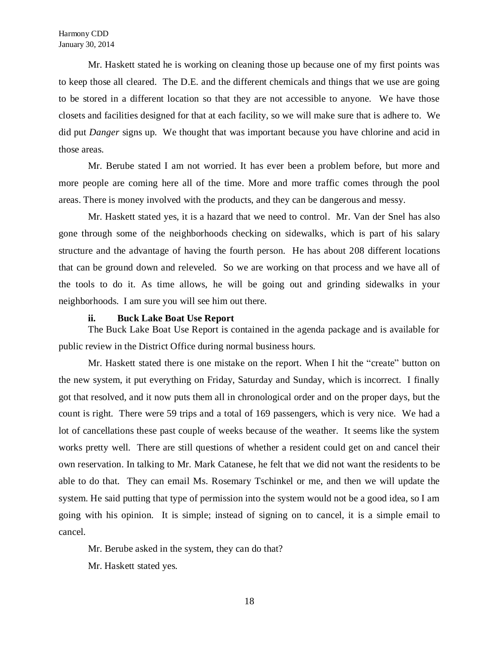Mr. Haskett stated he is working on cleaning those up because one of my first points was to keep those all cleared. The D.E. and the different chemicals and things that we use are going to be stored in a different location so that they are not accessible to anyone. We have those closets and facilities designed for that at each facility, so we will make sure that is adhere to. We did put *Danger* signs up. We thought that was important because you have chlorine and acid in those areas.

Mr. Berube stated I am not worried. It has ever been a problem before, but more and more people are coming here all of the time. More and more traffic comes through the pool areas. There is money involved with the products, and they can be dangerous and messy.

Mr. Haskett stated yes, it is a hazard that we need to control. Mr. Van der Snel has also gone through some of the neighborhoods checking on sidewalks, which is part of his salary structure and the advantage of having the fourth person. He has about 208 different locations that can be ground down and releveled. So we are working on that process and we have all of the tools to do it. As time allows, he will be going out and grinding sidewalks in your neighborhoods. I am sure you will see him out there.

## **ii. Buck Lake Boat Use Report**

The Buck Lake Boat Use Report is contained in the agenda package and is available for public review in the District Office during normal business hours.

Mr. Haskett stated there is one mistake on the report. When I hit the "create" button on the new system, it put everything on Friday, Saturday and Sunday, which is incorrect. I finally got that resolved, and it now puts them all in chronological order and on the proper days, but the count is right. There were 59 trips and a total of 169 passengers, which is very nice. We had a lot of cancellations these past couple of weeks because of the weather. It seems like the system works pretty well. There are still questions of whether a resident could get on and cancel their own reservation. In talking to Mr. Mark Catanese, he felt that we did not want the residents to be able to do that. They can email Ms. Rosemary Tschinkel or me, and then we will update the system. He said putting that type of permission into the system would not be a good idea, so I am going with his opinion. It is simple; instead of signing on to cancel, it is a simple email to cancel.

Mr. Berube asked in the system, they can do that?

Mr. Haskett stated yes.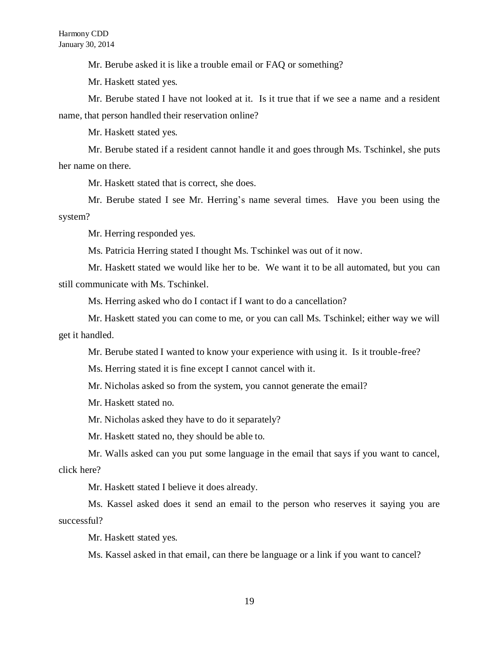Mr. Berube asked it is like a trouble email or FAQ or something?

Mr. Haskett stated yes.

Mr. Berube stated I have not looked at it. Is it true that if we see a name and a resident name, that person handled their reservation online?

Mr. Haskett stated yes.

Mr. Berube stated if a resident cannot handle it and goes through Ms. Tschinkel, she puts her name on there.

Mr. Haskett stated that is correct, she does.

Mr. Berube stated I see Mr. Herring's name several times. Have you been using the system?

Mr. Herring responded yes.

Ms. Patricia Herring stated I thought Ms. Tschinkel was out of it now.

Mr. Haskett stated we would like her to be. We want it to be all automated, but you can still communicate with Ms. Tschinkel.

Ms. Herring asked who do I contact if I want to do a cancellation?

Mr. Haskett stated you can come to me, or you can call Ms. Tschinkel; either way we will get it handled.

Mr. Berube stated I wanted to know your experience with using it. Is it trouble-free?

Ms. Herring stated it is fine except I cannot cancel with it.

Mr. Nicholas asked so from the system, you cannot generate the email?

Mr. Haskett stated no.

Mr. Nicholas asked they have to do it separately?

Mr. Haskett stated no, they should be able to.

Mr. Walls asked can you put some language in the email that says if you want to cancel, click here?

Mr. Haskett stated I believe it does already.

Ms. Kassel asked does it send an email to the person who reserves it saying you are successful?

Mr. Haskett stated yes.

Ms. Kassel asked in that email, can there be language or a link if you want to cancel?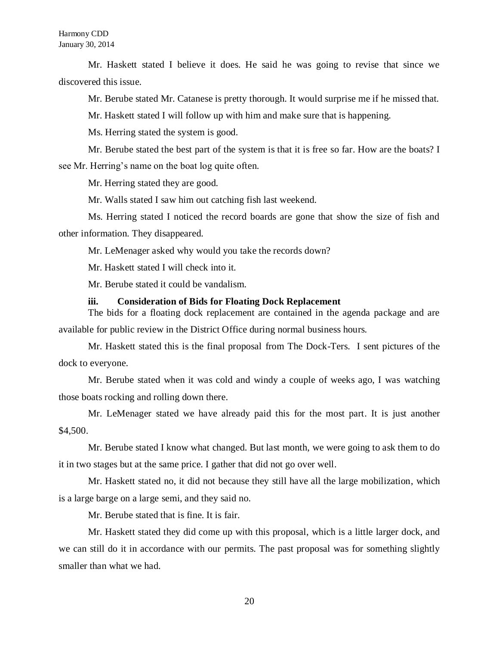Mr. Haskett stated I believe it does. He said he was going to revise that since we discovered this issue.

Mr. Berube stated Mr. Catanese is pretty thorough. It would surprise me if he missed that.

Mr. Haskett stated I will follow up with him and make sure that is happening.

Ms. Herring stated the system is good.

Mr. Berube stated the best part of the system is that it is free so far. How are the boats? I see Mr. Herring's name on the boat log quite often.

Mr. Herring stated they are good.

Mr. Walls stated I saw him out catching fish last weekend.

Ms. Herring stated I noticed the record boards are gone that show the size of fish and other information. They disappeared.

Mr. LeMenager asked why would you take the records down?

Mr. Haskett stated I will check into it.

Mr. Berube stated it could be vandalism.

## **iii. Consideration of Bids for Floating Dock Replacement**

The bids for a floating dock replacement are contained in the agenda package and are available for public review in the District Office during normal business hours.

Mr. Haskett stated this is the final proposal from The Dock-Ters. I sent pictures of the dock to everyone.

Mr. Berube stated when it was cold and windy a couple of weeks ago, I was watching those boats rocking and rolling down there.

Mr. LeMenager stated we have already paid this for the most part. It is just another \$4,500.

Mr. Berube stated I know what changed. But last month, we were going to ask them to do it in two stages but at the same price. I gather that did not go over well.

Mr. Haskett stated no, it did not because they still have all the large mobilization, which is a large barge on a large semi, and they said no.

Mr. Berube stated that is fine. It is fair.

Mr. Haskett stated they did come up with this proposal, which is a little larger dock, and we can still do it in accordance with our permits. The past proposal was for something slightly smaller than what we had.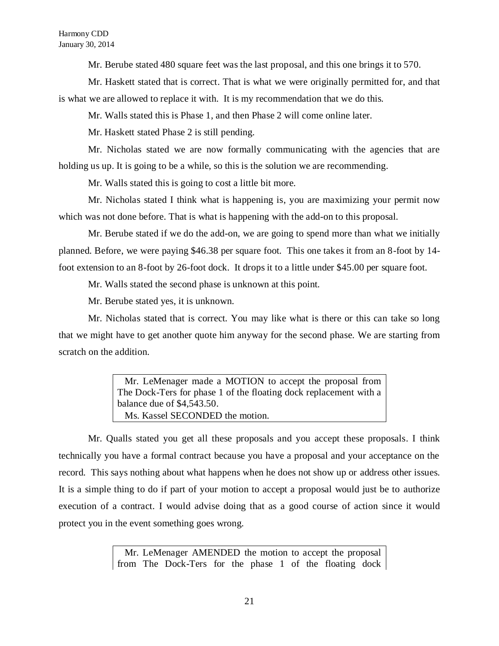Mr. Berube stated 480 square feet was the last proposal, and this one brings it to 570.

Mr. Haskett stated that is correct. That is what we were originally permitted for, and that is what we are allowed to replace it with. It is my recommendation that we do this.

Mr. Walls stated this is Phase 1, and then Phase 2 will come online later.

Mr. Haskett stated Phase 2 is still pending.

Mr. Nicholas stated we are now formally communicating with the agencies that are holding us up. It is going to be a while, so this is the solution we are recommending.

Mr. Walls stated this is going to cost a little bit more.

Mr. Nicholas stated I think what is happening is, you are maximizing your permit now which was not done before. That is what is happening with the add-on to this proposal.

Mr. Berube stated if we do the add-on, we are going to spend more than what we initially planned. Before, we were paying \$46.38 per square foot. This one takes it from an 8-foot by 14 foot extension to an 8-foot by 26-foot dock. It drops it to a little under \$45.00 per square foot.

Mr. Walls stated the second phase is unknown at this point.

Mr. Berube stated yes, it is unknown.

Mr. Nicholas stated that is correct. You may like what is there or this can take so long that we might have to get another quote him anyway for the second phase. We are starting from scratch on the addition.

> Mr. LeMenager made a MOTION to accept the proposal from The Dock-Ters for phase 1 of the floating dock replacement with a balance due of \$4,543.50. Ms. Kassel SECONDED the motion.

Mr. Qualls stated you get all these proposals and you accept these proposals. I think technically you have a formal contract because you have a proposal and your acceptance on the record. This says nothing about what happens when he does not show up or address other issues. It is a simple thing to do if part of your motion to accept a proposal would just be to authorize execution of a contract. I would advise doing that as a good course of action since it would protect you in the event something goes wrong.

> Mr. LeMenager AMENDED the motion to accept the proposal from The Dock-Ters for the phase 1 of the floating dock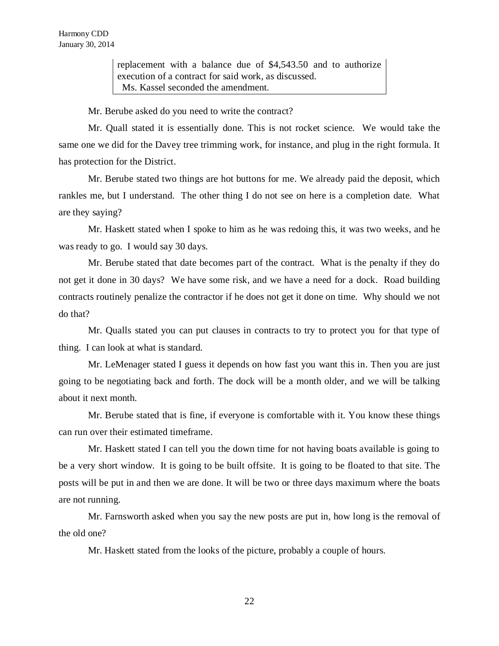replacement with a balance due of \$4,543.50 and to authorize execution of a contract for said work, as discussed. Ms. Kassel seconded the amendment.

Mr. Berube asked do you need to write the contract?

Mr. Quall stated it is essentially done. This is not rocket science. We would take the same one we did for the Davey tree trimming work, for instance, and plug in the right formula. It has protection for the District.

Mr. Berube stated two things are hot buttons for me. We already paid the deposit, which rankles me, but I understand. The other thing I do not see on here is a completion date. What are they saying?

Mr. Haskett stated when I spoke to him as he was redoing this, it was two weeks, and he was ready to go. I would say 30 days.

Mr. Berube stated that date becomes part of the contract. What is the penalty if they do not get it done in 30 days? We have some risk, and we have a need for a dock. Road building contracts routinely penalize the contractor if he does not get it done on time. Why should we not do that?

Mr. Qualls stated you can put clauses in contracts to try to protect you for that type of thing. I can look at what is standard.

Mr. LeMenager stated I guess it depends on how fast you want this in. Then you are just going to be negotiating back and forth. The dock will be a month older, and we will be talking about it next month.

Mr. Berube stated that is fine, if everyone is comfortable with it. You know these things can run over their estimated timeframe.

Mr. Haskett stated I can tell you the down time for not having boats available is going to be a very short window. It is going to be built offsite. It is going to be floated to that site. The posts will be put in and then we are done. It will be two or three days maximum where the boats are not running.

Mr. Farnsworth asked when you say the new posts are put in, how long is the removal of the old one?

Mr. Haskett stated from the looks of the picture, probably a couple of hours.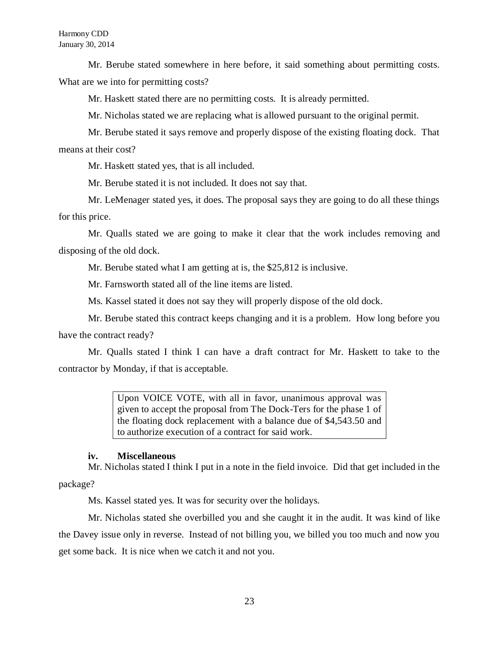Mr. Berube stated somewhere in here before, it said something about permitting costs. What are we into for permitting costs?

Mr. Haskett stated there are no permitting costs. It is already permitted.

Mr. Nicholas stated we are replacing what is allowed pursuant to the original permit.

Mr. Berube stated it says remove and properly dispose of the existing floating dock. That means at their cost?

Mr. Haskett stated yes, that is all included.

Mr. Berube stated it is not included. It does not say that.

Mr. LeMenager stated yes, it does. The proposal says they are going to do all these things for this price.

Mr. Qualls stated we are going to make it clear that the work includes removing and disposing of the old dock.

Mr. Berube stated what I am getting at is, the \$25,812 is inclusive.

Mr. Farnsworth stated all of the line items are listed.

Ms. Kassel stated it does not say they will properly dispose of the old dock.

Mr. Berube stated this contract keeps changing and it is a problem. How long before you have the contract ready?

Mr. Qualls stated I think I can have a draft contract for Mr. Haskett to take to the contractor by Monday, if that is acceptable.

> Upon VOICE VOTE, with all in favor, unanimous approval was given to accept the proposal from The Dock-Ters for the phase 1 of the floating dock replacement with a balance due of \$4,543.50 and to authorize execution of a contract for said work.

## **iv. Miscellaneous**

Mr. Nicholas stated I think I put in a note in the field invoice. Did that get included in the package?

Ms. Kassel stated yes. It was for security over the holidays.

Mr. Nicholas stated she overbilled you and she caught it in the audit. It was kind of like the Davey issue only in reverse. Instead of not billing you, we billed you too much and now you get some back. It is nice when we catch it and not you.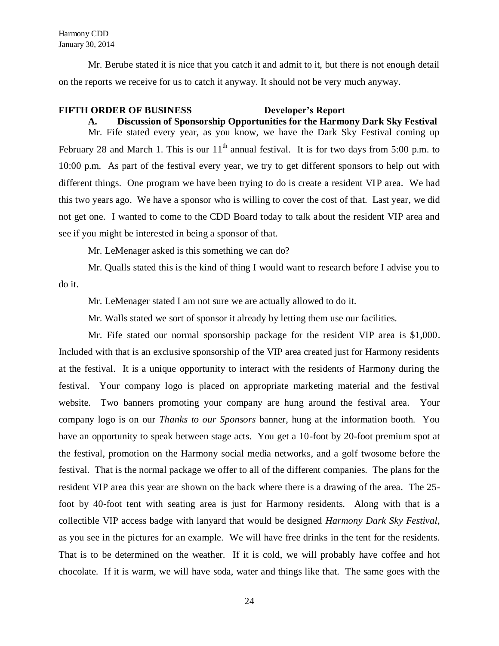Harmony CDD January 30, 2014

Mr. Berube stated it is nice that you catch it and admit to it, but there is not enough detail on the reports we receive for us to catch it anyway. It should not be very much anyway.

## **FIFTH ORDER OF BUSINESS Developer's Report**

# **A. Discussion of Sponsorship Opportunities for the Harmony Dark Sky Festival**

Mr. Fife stated every year, as you know, we have the Dark Sky Festival coming up February 28 and March 1. This is our  $11<sup>th</sup>$  annual festival. It is for two days from 5:00 p.m. to 10:00 p.m. As part of the festival every year, we try to get different sponsors to help out with different things. One program we have been trying to do is create a resident VIP area. We had this two years ago. We have a sponsor who is willing to cover the cost of that. Last year, we did not get one. I wanted to come to the CDD Board today to talk about the resident VIP area and see if you might be interested in being a sponsor of that.

Mr. LeMenager asked is this something we can do?

Mr. Qualls stated this is the kind of thing I would want to research before I advise you to do it.

Mr. LeMenager stated I am not sure we are actually allowed to do it.

Mr. Walls stated we sort of sponsor it already by letting them use our facilities.

Mr. Fife stated our normal sponsorship package for the resident VIP area is \$1,000. Included with that is an exclusive sponsorship of the VIP area created just for Harmony residents at the festival. It is a unique opportunity to interact with the residents of Harmony during the festival. Your company logo is placed on appropriate marketing material and the festival website. Two banners promoting your company are hung around the festival area. Your company logo is on our *Thanks to our Sponsors* banner, hung at the information booth. You have an opportunity to speak between stage acts. You get a 10-foot by 20-foot premium spot at the festival, promotion on the Harmony social media networks, and a golf twosome before the festival. That is the normal package we offer to all of the different companies. The plans for the resident VIP area this year are shown on the back where there is a drawing of the area. The 25 foot by 40-foot tent with seating area is just for Harmony residents. Along with that is a collectible VIP access badge with lanyard that would be designed *Harmony Dark Sky Festival*, as you see in the pictures for an example. We will have free drinks in the tent for the residents. That is to be determined on the weather. If it is cold, we will probably have coffee and hot chocolate. If it is warm, we will have soda, water and things like that. The same goes with the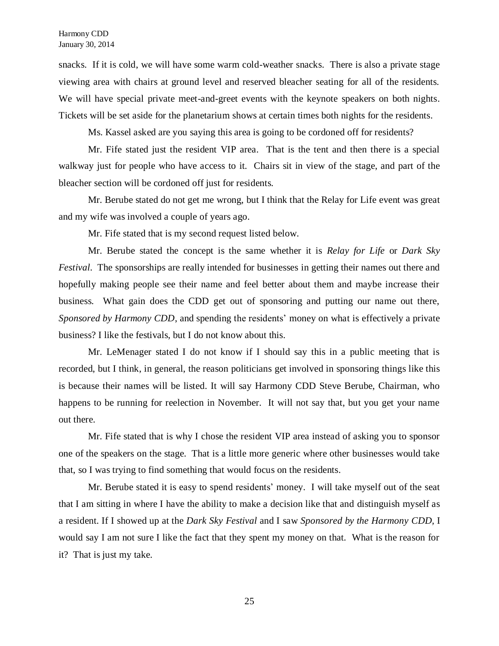snacks. If it is cold, we will have some warm cold-weather snacks. There is also a private stage viewing area with chairs at ground level and reserved bleacher seating for all of the residents. We will have special private meet-and-greet events with the keynote speakers on both nights. Tickets will be set aside for the planetarium shows at certain times both nights for the residents.

Ms. Kassel asked are you saying this area is going to be cordoned off for residents?

Mr. Fife stated just the resident VIP area. That is the tent and then there is a special walkway just for people who have access to it. Chairs sit in view of the stage, and part of the bleacher section will be cordoned off just for residents.

Mr. Berube stated do not get me wrong, but I think that the Relay for Life event was great and my wife was involved a couple of years ago.

Mr. Fife stated that is my second request listed below.

Mr. Berube stated the concept is the same whether it is *Relay for Life* or *Dark Sky Festival*. The sponsorships are really intended for businesses in getting their names out there and hopefully making people see their name and feel better about them and maybe increase their business. What gain does the CDD get out of sponsoring and putting our name out there, *Sponsored by Harmony CDD*, and spending the residents' money on what is effectively a private business? I like the festivals, but I do not know about this.

Mr. LeMenager stated I do not know if I should say this in a public meeting that is recorded, but I think, in general, the reason politicians get involved in sponsoring things like this is because their names will be listed. It will say Harmony CDD Steve Berube, Chairman, who happens to be running for reelection in November. It will not say that, but you get your name out there.

Mr. Fife stated that is why I chose the resident VIP area instead of asking you to sponsor one of the speakers on the stage. That is a little more generic where other businesses would take that, so I was trying to find something that would focus on the residents.

Mr. Berube stated it is easy to spend residents' money. I will take myself out of the seat that I am sitting in where I have the ability to make a decision like that and distinguish myself as a resident. If I showed up at the *Dark Sky Festival* and I saw *Sponsored by the Harmony CDD,* I would say I am not sure I like the fact that they spent my money on that. What is the reason for it? That is just my take.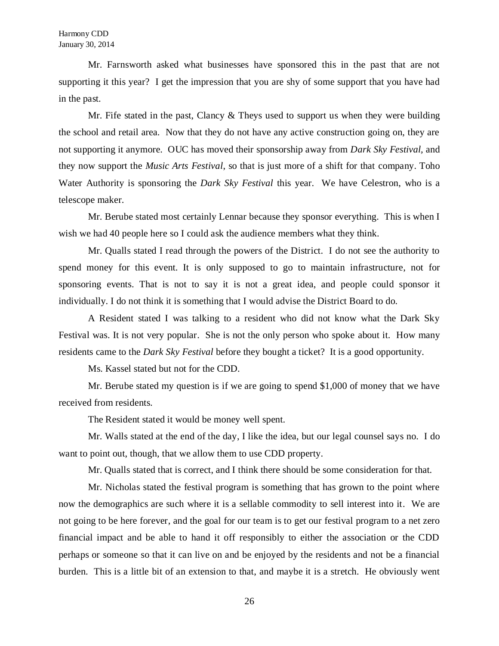Mr. Farnsworth asked what businesses have sponsored this in the past that are not supporting it this year? I get the impression that you are shy of some support that you have had in the past.

Mr. Fife stated in the past, Clancy  $\&$  Theys used to support us when they were building the school and retail area. Now that they do not have any active construction going on, they are not supporting it anymore. OUC has moved their sponsorship away from *Dark Sky Festival,* and they now support the *Music Arts Festival*, so that is just more of a shift for that company. Toho Water Authority is sponsoring the *Dark Sky Festival* this year. We have Celestron, who is a telescope maker.

Mr. Berube stated most certainly Lennar because they sponsor everything. This is when I wish we had 40 people here so I could ask the audience members what they think.

Mr. Qualls stated I read through the powers of the District. I do not see the authority to spend money for this event. It is only supposed to go to maintain infrastructure, not for sponsoring events. That is not to say it is not a great idea, and people could sponsor it individually. I do not think it is something that I would advise the District Board to do.

A Resident stated I was talking to a resident who did not know what the Dark Sky Festival was. It is not very popular. She is not the only person who spoke about it. How many residents came to the *Dark Sky Festival* before they bought a ticket? It is a good opportunity.

Ms. Kassel stated but not for the CDD.

Mr. Berube stated my question is if we are going to spend \$1,000 of money that we have received from residents.

The Resident stated it would be money well spent.

Mr. Walls stated at the end of the day, I like the idea, but our legal counsel says no. I do want to point out, though, that we allow them to use CDD property.

Mr. Qualls stated that is correct, and I think there should be some consideration for that.

Mr. Nicholas stated the festival program is something that has grown to the point where now the demographics are such where it is a sellable commodity to sell interest into it. We are not going to be here forever, and the goal for our team is to get our festival program to a net zero financial impact and be able to hand it off responsibly to either the association or the CDD perhaps or someone so that it can live on and be enjoyed by the residents and not be a financial burden. This is a little bit of an extension to that, and maybe it is a stretch. He obviously went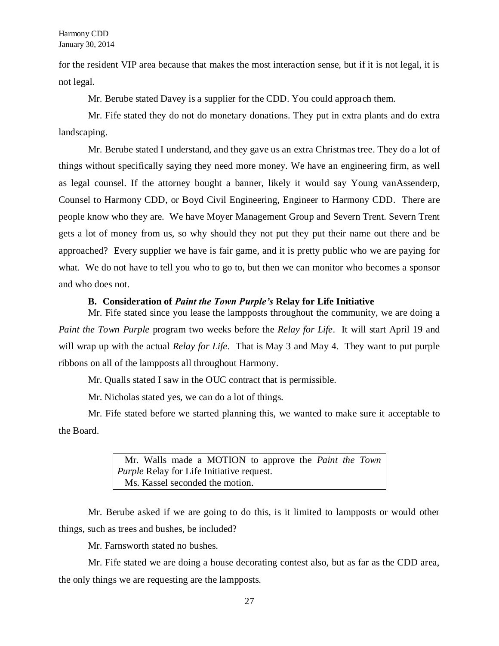for the resident VIP area because that makes the most interaction sense, but if it is not legal, it is not legal.

Mr. Berube stated Davey is a supplier for the CDD. You could approach them.

Mr. Fife stated they do not do monetary donations. They put in extra plants and do extra landscaping.

Mr. Berube stated I understand, and they gave us an extra Christmas tree. They do a lot of things without specifically saying they need more money. We have an engineering firm, as well as legal counsel. If the attorney bought a banner, likely it would say Young vanAssenderp, Counsel to Harmony CDD, or Boyd Civil Engineering, Engineer to Harmony CDD. There are people know who they are. We have Moyer Management Group and Severn Trent. Severn Trent gets a lot of money from us, so why should they not put they put their name out there and be approached? Every supplier we have is fair game, and it is pretty public who we are paying for what. We do not have to tell you who to go to, but then we can monitor who becomes a sponsor and who does not.

## **B. Consideration of** *Paint the Town Purple's* **Relay for Life Initiative**

Mr. Fife stated since you lease the lampposts throughout the community, we are doing a *Paint the Town Purple* program two weeks before the *Relay for Life*. It will start April 19 and will wrap up with the actual *Relay for Life*. That is May 3 and May 4. They want to put purple ribbons on all of the lampposts all throughout Harmony.

Mr. Qualls stated I saw in the OUC contract that is permissible.

Mr. Nicholas stated yes, we can do a lot of things.

Mr. Fife stated before we started planning this, we wanted to make sure it acceptable to the Board.

> Mr. Walls made a MOTION to approve the *Paint the Town Purple* Relay for Life Initiative request. Ms. Kassel seconded the motion.

Mr. Berube asked if we are going to do this, is it limited to lampposts or would other things, such as trees and bushes, be included?

Mr. Farnsworth stated no bushes.

Mr. Fife stated we are doing a house decorating contest also, but as far as the CDD area, the only things we are requesting are the lampposts.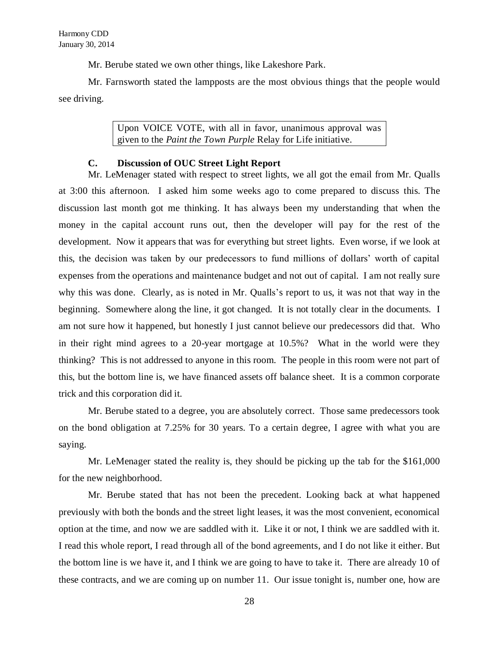Mr. Berube stated we own other things, like Lakeshore Park.

Mr. Farnsworth stated the lampposts are the most obvious things that the people would see driving.

> Upon VOICE VOTE, with all in favor, unanimous approval was given to the *Paint the Town Purple* Relay for Life initiative.

## **C. Discussion of OUC Street Light Report**

Mr. LeMenager stated with respect to street lights, we all got the email from Mr. Qualls at 3:00 this afternoon. I asked him some weeks ago to come prepared to discuss this. The discussion last month got me thinking. It has always been my understanding that when the money in the capital account runs out, then the developer will pay for the rest of the development. Now it appears that was for everything but street lights. Even worse, if we look at this, the decision was taken by our predecessors to fund millions of dollars' worth of capital expenses from the operations and maintenance budget and not out of capital. I am not really sure why this was done. Clearly, as is noted in Mr. Qualls's report to us, it was not that way in the beginning. Somewhere along the line, it got changed. It is not totally clear in the documents. I am not sure how it happened, but honestly I just cannot believe our predecessors did that. Who in their right mind agrees to a 20-year mortgage at 10.5%? What in the world were they thinking? This is not addressed to anyone in this room. The people in this room were not part of this, but the bottom line is, we have financed assets off balance sheet. It is a common corporate trick and this corporation did it.

Mr. Berube stated to a degree, you are absolutely correct. Those same predecessors took on the bond obligation at 7.25% for 30 years. To a certain degree, I agree with what you are saying.

Mr. LeMenager stated the reality is, they should be picking up the tab for the \$161,000 for the new neighborhood.

Mr. Berube stated that has not been the precedent. Looking back at what happened previously with both the bonds and the street light leases, it was the most convenient, economical option at the time, and now we are saddled with it. Like it or not, I think we are saddled with it. I read this whole report, I read through all of the bond agreements, and I do not like it either. But the bottom line is we have it, and I think we are going to have to take it. There are already 10 of these contracts, and we are coming up on number 11. Our issue tonight is, number one, how are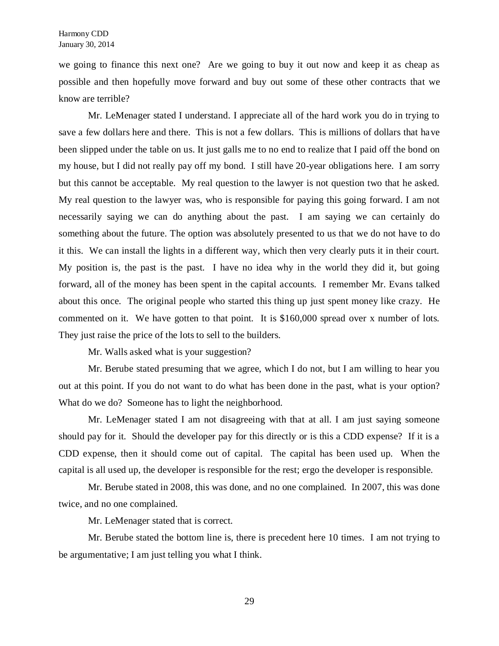we going to finance this next one? Are we going to buy it out now and keep it as cheap as possible and then hopefully move forward and buy out some of these other contracts that we know are terrible?

Mr. LeMenager stated I understand. I appreciate all of the hard work you do in trying to save a few dollars here and there. This is not a few dollars. This is millions of dollars that have been slipped under the table on us. It just galls me to no end to realize that I paid off the bond on my house, but I did not really pay off my bond. I still have 20-year obligations here. I am sorry but this cannot be acceptable. My real question to the lawyer is not question two that he asked. My real question to the lawyer was, who is responsible for paying this going forward. I am not necessarily saying we can do anything about the past. I am saying we can certainly do something about the future. The option was absolutely presented to us that we do not have to do it this. We can install the lights in a different way, which then very clearly puts it in their court. My position is, the past is the past. I have no idea why in the world they did it, but going forward, all of the money has been spent in the capital accounts. I remember Mr. Evans talked about this once. The original people who started this thing up just spent money like crazy. He commented on it. We have gotten to that point. It is \$160,000 spread over x number of lots. They just raise the price of the lots to sell to the builders.

Mr. Walls asked what is your suggestion?

Mr. Berube stated presuming that we agree, which I do not, but I am willing to hear you out at this point. If you do not want to do what has been done in the past, what is your option? What do we do? Someone has to light the neighborhood.

Mr. LeMenager stated I am not disagreeing with that at all. I am just saying someone should pay for it. Should the developer pay for this directly or is this a CDD expense? If it is a CDD expense, then it should come out of capital. The capital has been used up. When the capital is all used up, the developer is responsible for the rest; ergo the developer is responsible.

Mr. Berube stated in 2008, this was done, and no one complained. In 2007, this was done twice, and no one complained.

Mr. LeMenager stated that is correct.

Mr. Berube stated the bottom line is, there is precedent here 10 times. I am not trying to be argumentative; I am just telling you what I think.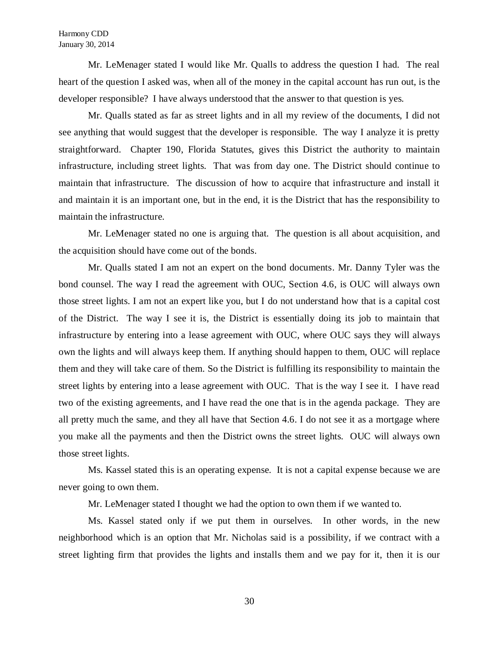Mr. LeMenager stated I would like Mr. Qualls to address the question I had. The real heart of the question I asked was, when all of the money in the capital account has run out, is the developer responsible? I have always understood that the answer to that question is yes.

Mr. Qualls stated as far as street lights and in all my review of the documents, I did not see anything that would suggest that the developer is responsible. The way I analyze it is pretty straightforward. Chapter 190, Florida Statutes, gives this District the authority to maintain infrastructure, including street lights. That was from day one. The District should continue to maintain that infrastructure. The discussion of how to acquire that infrastructure and install it and maintain it is an important one, but in the end, it is the District that has the responsibility to maintain the infrastructure.

Mr. LeMenager stated no one is arguing that. The question is all about acquisition, and the acquisition should have come out of the bonds.

Mr. Qualls stated I am not an expert on the bond documents. Mr. Danny Tyler was the bond counsel. The way I read the agreement with OUC, Section 4.6, is OUC will always own those street lights. I am not an expert like you, but I do not understand how that is a capital cost of the District. The way I see it is, the District is essentially doing its job to maintain that infrastructure by entering into a lease agreement with OUC, where OUC says they will always own the lights and will always keep them. If anything should happen to them, OUC will replace them and they will take care of them. So the District is fulfilling its responsibility to maintain the street lights by entering into a lease agreement with OUC. That is the way I see it. I have read two of the existing agreements, and I have read the one that is in the agenda package. They are all pretty much the same, and they all have that Section 4.6. I do not see it as a mortgage where you make all the payments and then the District owns the street lights. OUC will always own those street lights.

Ms. Kassel stated this is an operating expense. It is not a capital expense because we are never going to own them.

Mr. LeMenager stated I thought we had the option to own them if we wanted to.

Ms. Kassel stated only if we put them in ourselves. In other words, in the new neighborhood which is an option that Mr. Nicholas said is a possibility, if we contract with a street lighting firm that provides the lights and installs them and we pay for it, then it is our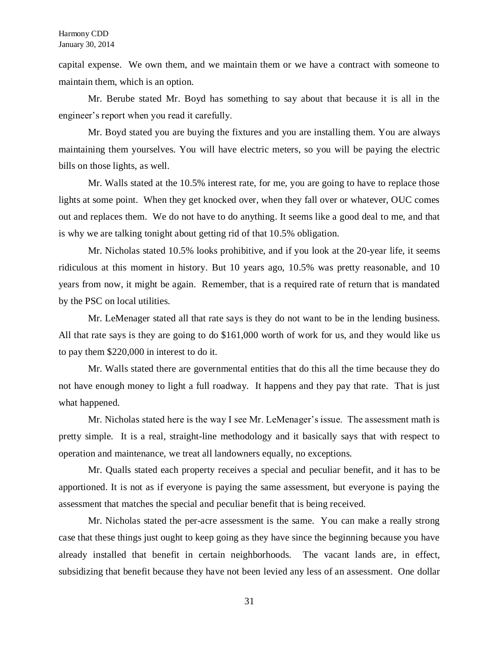capital expense. We own them, and we maintain them or we have a contract with someone to maintain them, which is an option.

Mr. Berube stated Mr. Boyd has something to say about that because it is all in the engineer's report when you read it carefully.

Mr. Boyd stated you are buying the fixtures and you are installing them. You are always maintaining them yourselves. You will have electric meters, so you will be paying the electric bills on those lights, as well.

Mr. Walls stated at the 10.5% interest rate, for me, you are going to have to replace those lights at some point. When they get knocked over, when they fall over or whatever, OUC comes out and replaces them. We do not have to do anything. It seems like a good deal to me, and that is why we are talking tonight about getting rid of that 10.5% obligation.

Mr. Nicholas stated 10.5% looks prohibitive, and if you look at the 20-year life, it seems ridiculous at this moment in history. But 10 years ago, 10.5% was pretty reasonable, and 10 years from now, it might be again. Remember, that is a required rate of return that is mandated by the PSC on local utilities.

Mr. LeMenager stated all that rate says is they do not want to be in the lending business. All that rate says is they are going to do \$161,000 worth of work for us, and they would like us to pay them \$220,000 in interest to do it.

Mr. Walls stated there are governmental entities that do this all the time because they do not have enough money to light a full roadway. It happens and they pay that rate. That is just what happened.

Mr. Nicholas stated here is the way I see Mr. LeMenager's issue. The assessment math is pretty simple. It is a real, straight-line methodology and it basically says that with respect to operation and maintenance, we treat all landowners equally, no exceptions.

Mr. Qualls stated each property receives a special and peculiar benefit, and it has to be apportioned. It is not as if everyone is paying the same assessment, but everyone is paying the assessment that matches the special and peculiar benefit that is being received.

Mr. Nicholas stated the per-acre assessment is the same. You can make a really strong case that these things just ought to keep going as they have since the beginning because you have already installed that benefit in certain neighborhoods. The vacant lands are, in effect, subsidizing that benefit because they have not been levied any less of an assessment. One dollar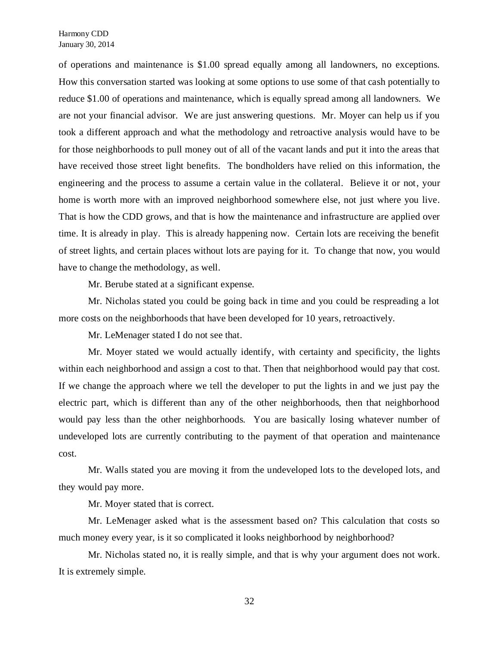of operations and maintenance is \$1.00 spread equally among all landowners, no exceptions. How this conversation started was looking at some options to use some of that cash potentially to reduce \$1.00 of operations and maintenance, which is equally spread among all landowners. We are not your financial advisor. We are just answering questions. Mr. Moyer can help us if you took a different approach and what the methodology and retroactive analysis would have to be for those neighborhoods to pull money out of all of the vacant lands and put it into the areas that have received those street light benefits. The bondholders have relied on this information, the engineering and the process to assume a certain value in the collateral. Believe it or not, your home is worth more with an improved neighborhood somewhere else, not just where you live. That is how the CDD grows, and that is how the maintenance and infrastructure are applied over time. It is already in play. This is already happening now. Certain lots are receiving the benefit of street lights, and certain places without lots are paying for it. To change that now, you would have to change the methodology, as well.

Mr. Berube stated at a significant expense.

Mr. Nicholas stated you could be going back in time and you could be respreading a lot more costs on the neighborhoods that have been developed for 10 years, retroactively.

Mr. LeMenager stated I do not see that.

Mr. Moyer stated we would actually identify, with certainty and specificity, the lights within each neighborhood and assign a cost to that. Then that neighborhood would pay that cost. If we change the approach where we tell the developer to put the lights in and we just pay the electric part, which is different than any of the other neighborhoods, then that neighborhood would pay less than the other neighborhoods. You are basically losing whatever number of undeveloped lots are currently contributing to the payment of that operation and maintenance cost.

Mr. Walls stated you are moving it from the undeveloped lots to the developed lots, and they would pay more.

Mr. Moyer stated that is correct.

Mr. LeMenager asked what is the assessment based on? This calculation that costs so much money every year, is it so complicated it looks neighborhood by neighborhood?

Mr. Nicholas stated no, it is really simple, and that is why your argument does not work. It is extremely simple.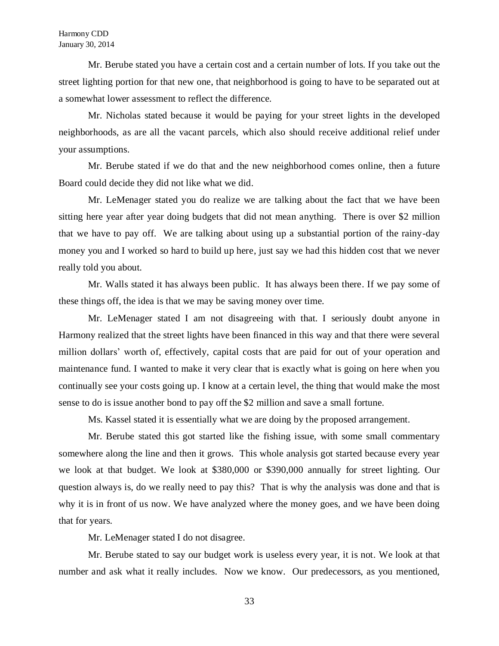Mr. Berube stated you have a certain cost and a certain number of lots. If you take out the street lighting portion for that new one, that neighborhood is going to have to be separated out at a somewhat lower assessment to reflect the difference.

Mr. Nicholas stated because it would be paying for your street lights in the developed neighborhoods, as are all the vacant parcels, which also should receive additional relief under your assumptions.

Mr. Berube stated if we do that and the new neighborhood comes online, then a future Board could decide they did not like what we did.

Mr. LeMenager stated you do realize we are talking about the fact that we have been sitting here year after year doing budgets that did not mean anything. There is over \$2 million that we have to pay off. We are talking about using up a substantial portion of the rainy-day money you and I worked so hard to build up here, just say we had this hidden cost that we never really told you about.

Mr. Walls stated it has always been public. It has always been there. If we pay some of these things off, the idea is that we may be saving money over time.

Mr. LeMenager stated I am not disagreeing with that. I seriously doubt anyone in Harmony realized that the street lights have been financed in this way and that there were several million dollars' worth of, effectively, capital costs that are paid for out of your operation and maintenance fund. I wanted to make it very clear that is exactly what is going on here when you continually see your costs going up. I know at a certain level, the thing that would make the most sense to do is issue another bond to pay off the \$2 million and save a small fortune.

Ms. Kassel stated it is essentially what we are doing by the proposed arrangement.

Mr. Berube stated this got started like the fishing issue, with some small commentary somewhere along the line and then it grows. This whole analysis got started because every year we look at that budget. We look at \$380,000 or \$390,000 annually for street lighting. Our question always is, do we really need to pay this? That is why the analysis was done and that is why it is in front of us now. We have analyzed where the money goes, and we have been doing that for years.

Mr. LeMenager stated I do not disagree.

Mr. Berube stated to say our budget work is useless every year, it is not. We look at that number and ask what it really includes. Now we know. Our predecessors, as you mentioned,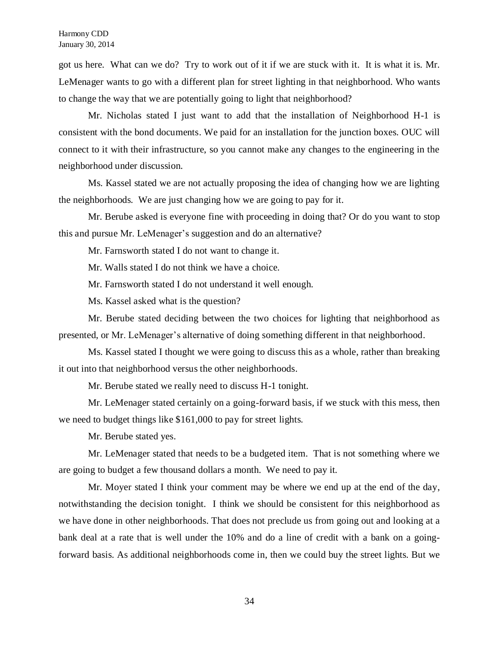got us here. What can we do? Try to work out of it if we are stuck with it. It is what it is. Mr. LeMenager wants to go with a different plan for street lighting in that neighborhood. Who wants to change the way that we are potentially going to light that neighborhood?

Mr. Nicholas stated I just want to add that the installation of Neighborhood H-1 is consistent with the bond documents. We paid for an installation for the junction boxes. OUC will connect to it with their infrastructure, so you cannot make any changes to the engineering in the neighborhood under discussion.

Ms. Kassel stated we are not actually proposing the idea of changing how we are lighting the neighborhoods. We are just changing how we are going to pay for it.

Mr. Berube asked is everyone fine with proceeding in doing that? Or do you want to stop this and pursue Mr. LeMenager's suggestion and do an alternative?

Mr. Farnsworth stated I do not want to change it.

Mr. Walls stated I do not think we have a choice.

Mr. Farnsworth stated I do not understand it well enough.

Ms. Kassel asked what is the question?

Mr. Berube stated deciding between the two choices for lighting that neighborhood as presented, or Mr. LeMenager's alternative of doing something different in that neighborhood.

Ms. Kassel stated I thought we were going to discuss this as a whole, rather than breaking it out into that neighborhood versus the other neighborhoods.

Mr. Berube stated we really need to discuss H-1 tonight.

Mr. LeMenager stated certainly on a going-forward basis, if we stuck with this mess, then we need to budget things like \$161,000 to pay for street lights.

Mr. Berube stated yes.

Mr. LeMenager stated that needs to be a budgeted item. That is not something where we are going to budget a few thousand dollars a month. We need to pay it.

Mr. Moyer stated I think your comment may be where we end up at the end of the day, notwithstanding the decision tonight. I think we should be consistent for this neighborhood as we have done in other neighborhoods. That does not preclude us from going out and looking at a bank deal at a rate that is well under the 10% and do a line of credit with a bank on a goingforward basis. As additional neighborhoods come in, then we could buy the street lights. But we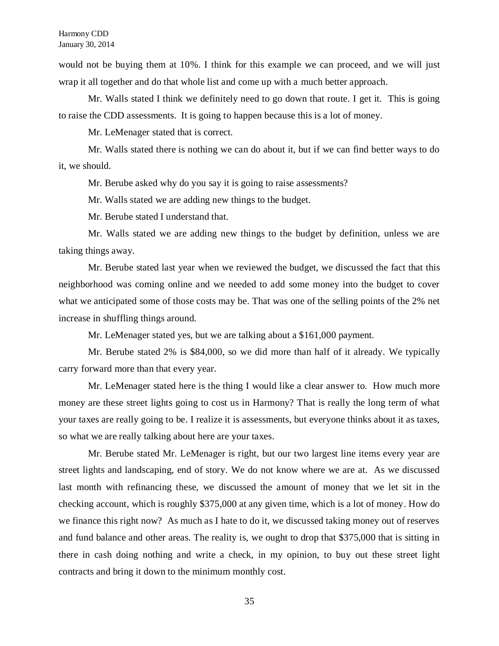would not be buying them at 10%. I think for this example we can proceed, and we will just wrap it all together and do that whole list and come up with a much better approach.

Mr. Walls stated I think we definitely need to go down that route. I get it. This is going to raise the CDD assessments. It is going to happen because this is a lot of money.

Mr. LeMenager stated that is correct.

Mr. Walls stated there is nothing we can do about it, but if we can find better ways to do it, we should.

Mr. Berube asked why do you say it is going to raise assessments?

Mr. Walls stated we are adding new things to the budget.

Mr. Berube stated I understand that.

Mr. Walls stated we are adding new things to the budget by definition, unless we are taking things away.

Mr. Berube stated last year when we reviewed the budget, we discussed the fact that this neighborhood was coming online and we needed to add some money into the budget to cover what we anticipated some of those costs may be. That was one of the selling points of the 2% net increase in shuffling things around.

Mr. LeMenager stated yes, but we are talking about a \$161,000 payment.

Mr. Berube stated 2% is \$84,000, so we did more than half of it already. We typically carry forward more than that every year.

Mr. LeMenager stated here is the thing I would like a clear answer to. How much more money are these street lights going to cost us in Harmony? That is really the long term of what your taxes are really going to be. I realize it is assessments, but everyone thinks about it as taxes, so what we are really talking about here are your taxes.

Mr. Berube stated Mr. LeMenager is right, but our two largest line items every year are street lights and landscaping, end of story. We do not know where we are at. As we discussed last month with refinancing these, we discussed the amount of money that we let sit in the checking account, which is roughly \$375,000 at any given time, which is a lot of money. How do we finance this right now? As much as I hate to do it, we discussed taking money out of reserves and fund balance and other areas. The reality is, we ought to drop that \$375,000 that is sitting in there in cash doing nothing and write a check, in my opinion, to buy out these street light contracts and bring it down to the minimum monthly cost.

35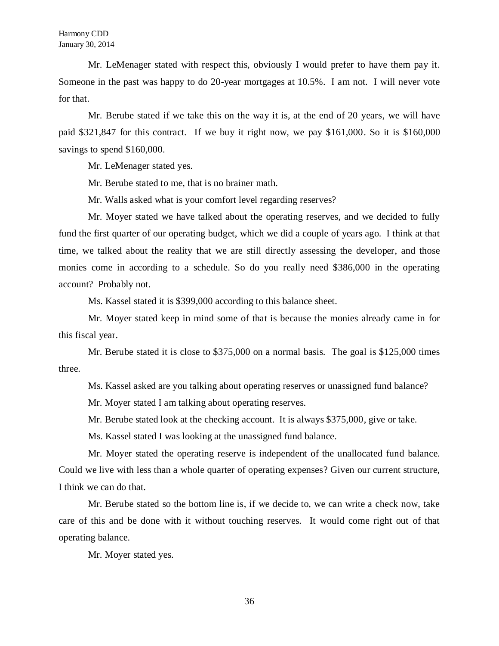Mr. LeMenager stated with respect this, obviously I would prefer to have them pay it. Someone in the past was happy to do 20-year mortgages at 10.5%. I am not. I will never vote for that.

Mr. Berube stated if we take this on the way it is, at the end of 20 years, we will have paid \$321,847 for this contract. If we buy it right now, we pay \$161,000. So it is \$160,000 savings to spend \$160,000.

Mr. LeMenager stated yes.

Mr. Berube stated to me, that is no brainer math.

Mr. Walls asked what is your comfort level regarding reserves?

Mr. Moyer stated we have talked about the operating reserves, and we decided to fully fund the first quarter of our operating budget, which we did a couple of years ago. I think at that time, we talked about the reality that we are still directly assessing the developer, and those monies come in according to a schedule. So do you really need \$386,000 in the operating account? Probably not.

Ms. Kassel stated it is \$399,000 according to this balance sheet.

Mr. Moyer stated keep in mind some of that is because the monies already came in for this fiscal year.

Mr. Berube stated it is close to \$375,000 on a normal basis. The goal is \$125,000 times three.

Ms. Kassel asked are you talking about operating reserves or unassigned fund balance?

Mr. Moyer stated I am talking about operating reserves.

Mr. Berube stated look at the checking account. It is always \$375,000, give or take.

Ms. Kassel stated I was looking at the unassigned fund balance.

Mr. Moyer stated the operating reserve is independent of the unallocated fund balance. Could we live with less than a whole quarter of operating expenses? Given our current structure, I think we can do that.

Mr. Berube stated so the bottom line is, if we decide to, we can write a check now, take care of this and be done with it without touching reserves. It would come right out of that operating balance.

Mr. Moyer stated yes.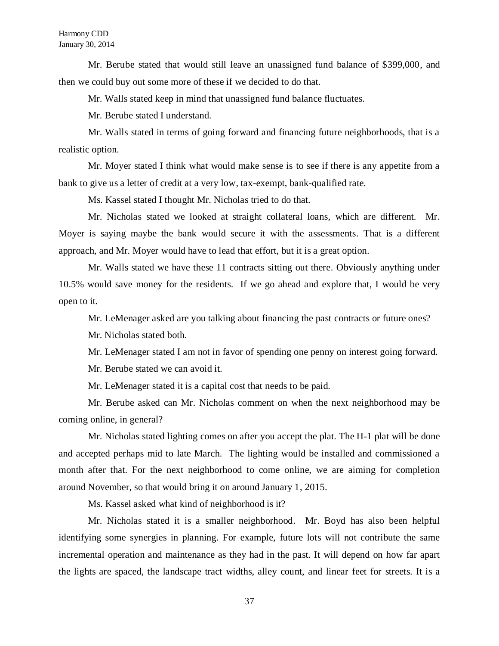Mr. Berube stated that would still leave an unassigned fund balance of \$399,000, and then we could buy out some more of these if we decided to do that.

Mr. Walls stated keep in mind that unassigned fund balance fluctuates.

Mr. Berube stated I understand.

Mr. Walls stated in terms of going forward and financing future neighborhoods, that is a realistic option.

Mr. Moyer stated I think what would make sense is to see if there is any appetite from a bank to give us a letter of credit at a very low, tax-exempt, bank-qualified rate.

Ms. Kassel stated I thought Mr. Nicholas tried to do that.

Mr. Nicholas stated we looked at straight collateral loans, which are different. Mr. Moyer is saying maybe the bank would secure it with the assessments. That is a different approach, and Mr. Moyer would have to lead that effort, but it is a great option.

Mr. Walls stated we have these 11 contracts sitting out there. Obviously anything under 10.5% would save money for the residents. If we go ahead and explore that, I would be very open to it.

Mr. LeMenager asked are you talking about financing the past contracts or future ones?

Mr. Nicholas stated both.

Mr. LeMenager stated I am not in favor of spending one penny on interest going forward.

Mr. Berube stated we can avoid it.

Mr. LeMenager stated it is a capital cost that needs to be paid.

Mr. Berube asked can Mr. Nicholas comment on when the next neighborhood may be coming online, in general?

Mr. Nicholas stated lighting comes on after you accept the plat. The H-1 plat will be done and accepted perhaps mid to late March. The lighting would be installed and commissioned a month after that. For the next neighborhood to come online, we are aiming for completion around November, so that would bring it on around January 1, 2015.

Ms. Kassel asked what kind of neighborhood is it?

Mr. Nicholas stated it is a smaller neighborhood. Mr. Boyd has also been helpful identifying some synergies in planning. For example, future lots will not contribute the same incremental operation and maintenance as they had in the past. It will depend on how far apart the lights are spaced, the landscape tract widths, alley count, and linear feet for streets. It is a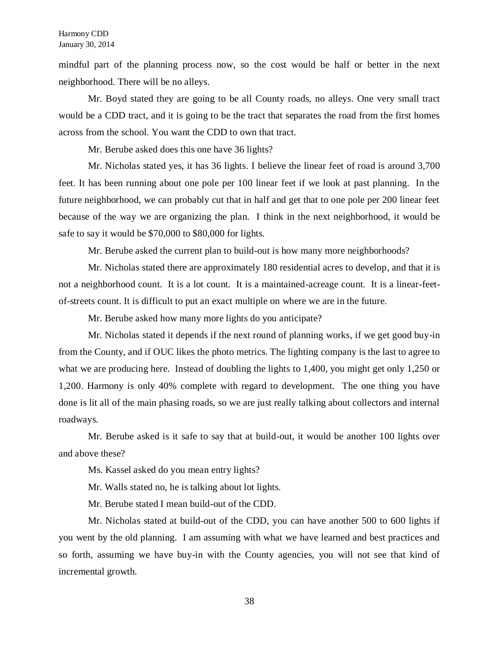mindful part of the planning process now, so the cost would be half or better in the next neighborhood. There will be no alleys.

Mr. Boyd stated they are going to be all County roads, no alleys. One very small tract would be a CDD tract, and it is going to be the tract that separates the road from the first homes across from the school. You want the CDD to own that tract.

Mr. Berube asked does this one have 36 lights?

Mr. Nicholas stated yes, it has 36 lights. I believe the linear feet of road is around 3,700 feet. It has been running about one pole per 100 linear feet if we look at past planning. In the future neighborhood, we can probably cut that in half and get that to one pole per 200 linear feet because of the way we are organizing the plan. I think in the next neighborhood, it would be safe to say it would be \$70,000 to \$80,000 for lights.

Mr. Berube asked the current plan to build-out is how many more neighborhoods?

Mr. Nicholas stated there are approximately 180 residential acres to develop, and that it is not a neighborhood count. It is a lot count. It is a maintained-acreage count. It is a linear-feetof-streets count. It is difficult to put an exact multiple on where we are in the future.

Mr. Berube asked how many more lights do you anticipate?

Mr. Nicholas stated it depends if the next round of planning works, if we get good buy-in from the County, and if OUC likes the photo metrics. The lighting company is the last to agree to what we are producing here. Instead of doubling the lights to 1,400, you might get only 1,250 or 1,200. Harmony is only 40% complete with regard to development. The one thing you have done is lit all of the main phasing roads, so we are just really talking about collectors and internal roadways.

Mr. Berube asked is it safe to say that at build-out, it would be another 100 lights over and above these?

Ms. Kassel asked do you mean entry lights?

Mr. Walls stated no, he is talking about lot lights.

Mr. Berube stated I mean build-out of the CDD.

Mr. Nicholas stated at build-out of the CDD, you can have another 500 to 600 lights if you went by the old planning. I am assuming with what we have learned and best practices and so forth, assuming we have buy-in with the County agencies, you will not see that kind of incremental growth.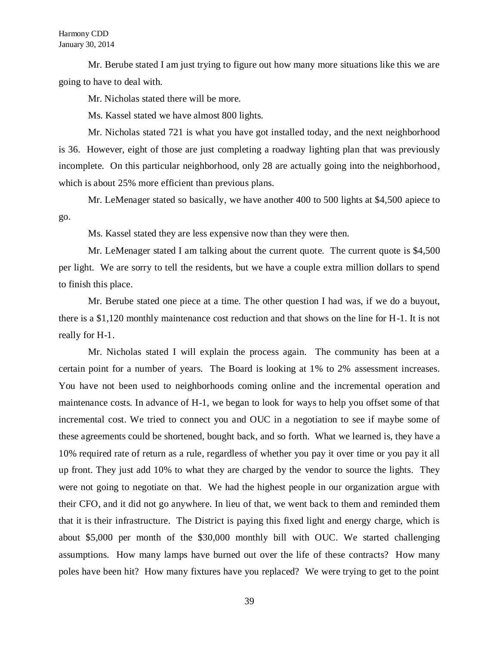Mr. Berube stated I am just trying to figure out how many more situations like this we are going to have to deal with.

Mr. Nicholas stated there will be more.

Ms. Kassel stated we have almost 800 lights.

Mr. Nicholas stated 721 is what you have got installed today, and the next neighborhood is 36. However, eight of those are just completing a roadway lighting plan that was previously incomplete. On this particular neighborhood, only 28 are actually going into the neighborhood, which is about 25% more efficient than previous plans.

Mr. LeMenager stated so basically, we have another 400 to 500 lights at \$4,500 apiece to go.

Ms. Kassel stated they are less expensive now than they were then.

Mr. LeMenager stated I am talking about the current quote. The current quote is \$4,500 per light. We are sorry to tell the residents, but we have a couple extra million dollars to spend to finish this place.

Mr. Berube stated one piece at a time. The other question I had was, if we do a buyout, there is a \$1,120 monthly maintenance cost reduction and that shows on the line for H-1. It is not really for H-1.

Mr. Nicholas stated I will explain the process again. The community has been at a certain point for a number of years. The Board is looking at 1% to 2% assessment increases. You have not been used to neighborhoods coming online and the incremental operation and maintenance costs. In advance of H-1, we began to look for ways to help you offset some of that incremental cost. We tried to connect you and OUC in a negotiation to see if maybe some of these agreements could be shortened, bought back, and so forth. What we learned is, they have a 10% required rate of return as a rule, regardless of whether you pay it over time or you pay it all up front. They just add 10% to what they are charged by the vendor to source the lights. They were not going to negotiate on that. We had the highest people in our organization argue with their CFO, and it did not go anywhere. In lieu of that, we went back to them and reminded them that it is their infrastructure. The District is paying this fixed light and energy charge, which is about \$5,000 per month of the \$30,000 monthly bill with OUC. We started challenging assumptions. How many lamps have burned out over the life of these contracts? How many poles have been hit? How many fixtures have you replaced? We were trying to get to the point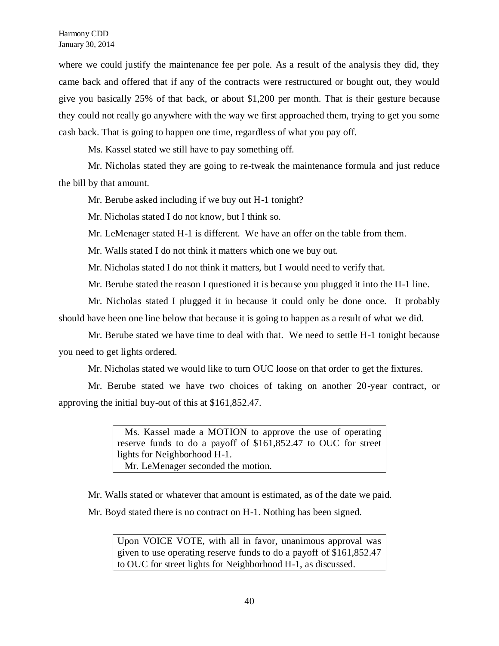where we could justify the maintenance fee per pole. As a result of the analysis they did, they came back and offered that if any of the contracts were restructured or bought out, they would give you basically 25% of that back, or about \$1,200 per month. That is their gesture because they could not really go anywhere with the way we first approached them, trying to get you some cash back. That is going to happen one time, regardless of what you pay off.

Ms. Kassel stated we still have to pay something off.

Mr. Nicholas stated they are going to re-tweak the maintenance formula and just reduce the bill by that amount.

Mr. Berube asked including if we buy out H-1 tonight?

Mr. Nicholas stated I do not know, but I think so.

Mr. LeMenager stated H-1 is different. We have an offer on the table from them.

Mr. Walls stated I do not think it matters which one we buy out.

Mr. Nicholas stated I do not think it matters, but I would need to verify that.

Mr. Berube stated the reason I questioned it is because you plugged it into the H-1 line.

Mr. Nicholas stated I plugged it in because it could only be done once. It probably should have been one line below that because it is going to happen as a result of what we did.

Mr. Berube stated we have time to deal with that. We need to settle H-1 tonight because you need to get lights ordered.

Mr. Nicholas stated we would like to turn OUC loose on that order to get the fixtures.

Mr. Berube stated we have two choices of taking on another 20-year contract, or approving the initial buy-out of this at \$161,852.47.

> Ms. Kassel made a MOTION to approve the use of operating reserve funds to do a payoff of \$161,852.47 to OUC for street lights for Neighborhood H-1. Mr. LeMenager seconded the motion.

Mr. Walls stated or whatever that amount is estimated, as of the date we paid. Mr. Boyd stated there is no contract on H-1. Nothing has been signed.

Upon VOICE VOTE, with all in favor, unanimous approval was given to use operating reserve funds to do a payoff of \$161,852.47 to OUC for street lights for Neighborhood H-1, as discussed.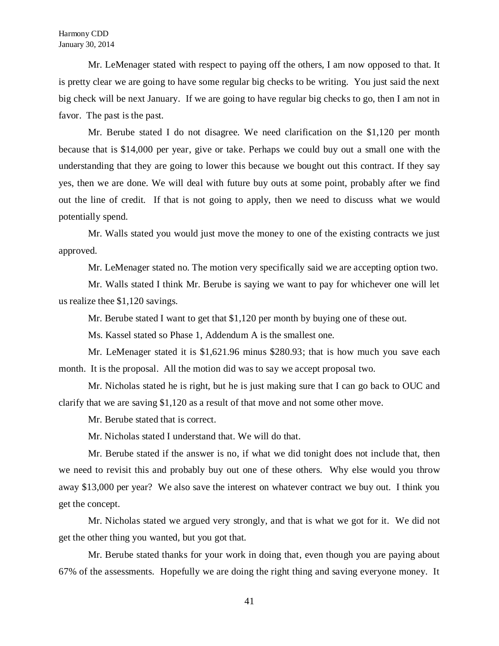Mr. LeMenager stated with respect to paying off the others, I am now opposed to that. It is pretty clear we are going to have some regular big checks to be writing. You just said the next big check will be next January. If we are going to have regular big checks to go, then I am not in favor. The past is the past.

Mr. Berube stated I do not disagree. We need clarification on the \$1,120 per month because that is \$14,000 per year, give or take. Perhaps we could buy out a small one with the understanding that they are going to lower this because we bought out this contract. If they say yes, then we are done. We will deal with future buy outs at some point, probably after we find out the line of credit. If that is not going to apply, then we need to discuss what we would potentially spend.

Mr. Walls stated you would just move the money to one of the existing contracts we just approved.

Mr. LeMenager stated no. The motion very specifically said we are accepting option two.

Mr. Walls stated I think Mr. Berube is saying we want to pay for whichever one will let us realize thee \$1,120 savings.

Mr. Berube stated I want to get that \$1,120 per month by buying one of these out.

Ms. Kassel stated so Phase 1, Addendum A is the smallest one.

Mr. LeMenager stated it is \$1,621.96 minus \$280.93; that is how much you save each month. It is the proposal. All the motion did was to say we accept proposal two.

Mr. Nicholas stated he is right, but he is just making sure that I can go back to OUC and clarify that we are saving \$1,120 as a result of that move and not some other move.

Mr. Berube stated that is correct.

Mr. Nicholas stated I understand that. We will do that.

Mr. Berube stated if the answer is no, if what we did tonight does not include that, then we need to revisit this and probably buy out one of these others. Why else would you throw away \$13,000 per year? We also save the interest on whatever contract we buy out. I think you get the concept.

Mr. Nicholas stated we argued very strongly, and that is what we got for it. We did not get the other thing you wanted, but you got that.

Mr. Berube stated thanks for your work in doing that, even though you are paying about 67% of the assessments. Hopefully we are doing the right thing and saving everyone money. It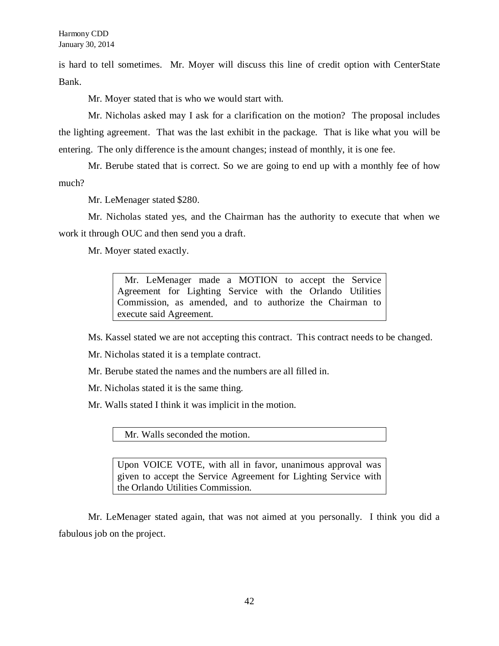is hard to tell sometimes. Mr. Moyer will discuss this line of credit option with CenterState Bank.

Mr. Moyer stated that is who we would start with.

Mr. Nicholas asked may I ask for a clarification on the motion? The proposal includes the lighting agreement. That was the last exhibit in the package. That is like what you will be entering. The only difference is the amount changes; instead of monthly, it is one fee.

Mr. Berube stated that is correct. So we are going to end up with a monthly fee of how much?

Mr. LeMenager stated \$280.

Mr. Nicholas stated yes, and the Chairman has the authority to execute that when we work it through OUC and then send you a draft.

Mr. Moyer stated exactly.

 Mr. LeMenager made a MOTION to accept the Service Agreement for Lighting Service with the Orlando Utilities Commission, as amended, and to authorize the Chairman to execute said Agreement.

Ms. Kassel stated we are not accepting this contract. This contract needs to be changed.

Mr. Nicholas stated it is a template contract.

Mr. Berube stated the names and the numbers are all filled in.

Mr. Nicholas stated it is the same thing.

Mr. Walls stated I think it was implicit in the motion.

Mr. Walls seconded the motion.

Upon VOICE VOTE, with all in favor, unanimous approval was given to accept the Service Agreement for Lighting Service with the Orlando Utilities Commission.

Mr. LeMenager stated again, that was not aimed at you personally. I think you did a fabulous job on the project.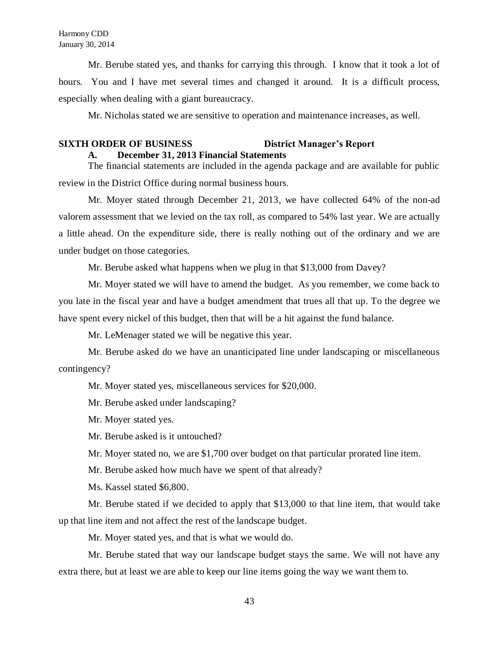Mr. Berube stated yes, and thanks for carrying this through. I know that it took a lot of hours. You and I have met several times and changed it around. It is a difficult process, especially when dealing with a giant bureaucracy.

Mr. Nicholas stated we are sensitive to operation and maintenance increases, as well.

## **SIXTH ORDER OF BUSINESS District Manager's Report A. December 31, 2013 Financial Statements**

The financial statements are included in the agenda package and are available for public review in the District Office during normal business hours.

Mr. Moyer stated through December 21, 2013, we have collected 64% of the non-ad valorem assessment that we levied on the tax roll, as compared to 54% last year. We are actually a little ahead. On the expenditure side, there is really nothing out of the ordinary and we are under budget on those categories.

Mr. Berube asked what happens when we plug in that \$13,000 from Davey?

Mr. Moyer stated we will have to amend the budget. As you remember, we come back to you late in the fiscal year and have a budget amendment that trues all that up. To the degree we have spent every nickel of this budget, then that will be a hit against the fund balance.

Mr. LeMenager stated we will be negative this year.

Mr. Berube asked do we have an unanticipated line under landscaping or miscellaneous contingency?

Mr. Moyer stated yes, miscellaneous services for \$20,000.

Mr. Berube asked under landscaping?

Mr. Moyer stated yes.

Mr. Berube asked is it untouched?

Mr. Moyer stated no, we are \$1,700 over budget on that particular prorated line item.

Mr. Berube asked how much have we spent of that already?

Ms. Kassel stated \$6,800.

Mr. Berube stated if we decided to apply that \$13,000 to that line item, that would take up that line item and not affect the rest of the landscape budget.

Mr. Moyer stated yes, and that is what we would do.

Mr. Berube stated that way our landscape budget stays the same. We will not have any extra there, but at least we are able to keep our line items going the way we want them to.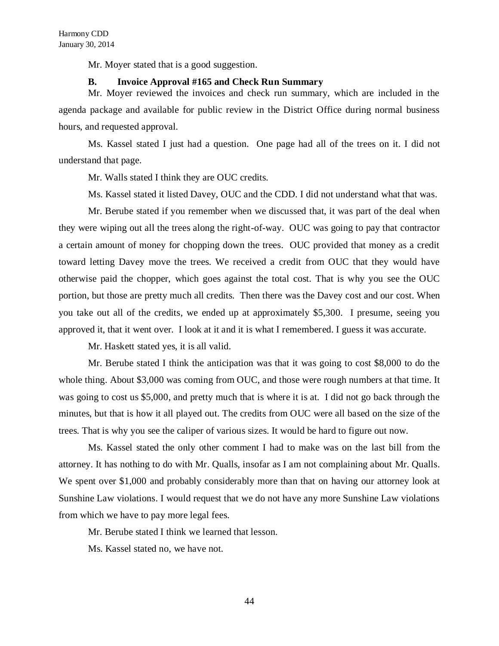Mr. Moyer stated that is a good suggestion.

## **B. Invoice Approval #165 and Check Run Summary**

Mr. Moyer reviewed the invoices and check run summary, which are included in the agenda package and available for public review in the District Office during normal business hours, and requested approval.

Ms. Kassel stated I just had a question. One page had all of the trees on it. I did not understand that page.

Mr. Walls stated I think they are OUC credits.

Ms. Kassel stated it listed Davey, OUC and the CDD. I did not understand what that was.

Mr. Berube stated if you remember when we discussed that, it was part of the deal when they were wiping out all the trees along the right-of-way. OUC was going to pay that contractor a certain amount of money for chopping down the trees. OUC provided that money as a credit toward letting Davey move the trees. We received a credit from OUC that they would have otherwise paid the chopper, which goes against the total cost. That is why you see the OUC portion, but those are pretty much all credits. Then there was the Davey cost and our cost. When you take out all of the credits, we ended up at approximately \$5,300. I presume, seeing you approved it, that it went over. I look at it and it is what I remembered. I guess it was accurate.

Mr. Haskett stated yes, it is all valid.

Mr. Berube stated I think the anticipation was that it was going to cost \$8,000 to do the whole thing. About \$3,000 was coming from OUC, and those were rough numbers at that time. It was going to cost us \$5,000, and pretty much that is where it is at. I did not go back through the minutes, but that is how it all played out. The credits from OUC were all based on the size of the trees. That is why you see the caliper of various sizes. It would be hard to figure out now.

Ms. Kassel stated the only other comment I had to make was on the last bill from the attorney. It has nothing to do with Mr. Qualls, insofar as I am not complaining about Mr. Qualls. We spent over \$1,000 and probably considerably more than that on having our attorney look at Sunshine Law violations. I would request that we do not have any more Sunshine Law violations from which we have to pay more legal fees.

Mr. Berube stated I think we learned that lesson.

Ms. Kassel stated no, we have not.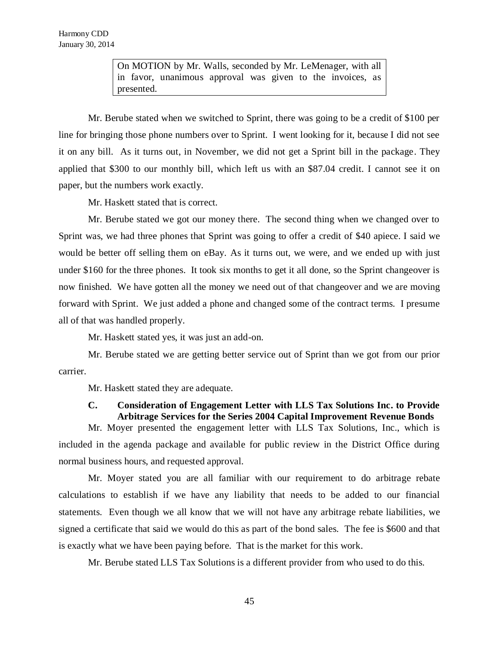On MOTION by Mr. Walls, seconded by Mr. LeMenager, with all in favor, unanimous approval was given to the invoices, as presented.

Mr. Berube stated when we switched to Sprint, there was going to be a credit of \$100 per line for bringing those phone numbers over to Sprint. I went looking for it, because I did not see it on any bill. As it turns out, in November, we did not get a Sprint bill in the package. They applied that \$300 to our monthly bill, which left us with an \$87.04 credit. I cannot see it on paper, but the numbers work exactly.

Mr. Haskett stated that is correct.

Mr. Berube stated we got our money there. The second thing when we changed over to Sprint was, we had three phones that Sprint was going to offer a credit of \$40 apiece. I said we would be better off selling them on eBay. As it turns out, we were, and we ended up with just under \$160 for the three phones. It took six months to get it all done, so the Sprint changeover is now finished. We have gotten all the money we need out of that changeover and we are moving forward with Sprint. We just added a phone and changed some of the contract terms. I presume all of that was handled properly.

Mr. Haskett stated yes, it was just an add-on.

Mr. Berube stated we are getting better service out of Sprint than we got from our prior carrier.

Mr. Haskett stated they are adequate.

# **C. Consideration of Engagement Letter with LLS Tax Solutions Inc. to Provide Arbitrage Services for the Series 2004 Capital Improvement Revenue Bonds**

Mr. Moyer presented the engagement letter with LLS Tax Solutions, Inc., which is included in the agenda package and available for public review in the District Office during normal business hours, and requested approval.

Mr. Moyer stated you are all familiar with our requirement to do arbitrage rebate calculations to establish if we have any liability that needs to be added to our financial statements. Even though we all know that we will not have any arbitrage rebate liabilities, we signed a certificate that said we would do this as part of the bond sales. The fee is \$600 and that is exactly what we have been paying before. That is the market for this work.

Mr. Berube stated LLS Tax Solutions is a different provider from who used to do this.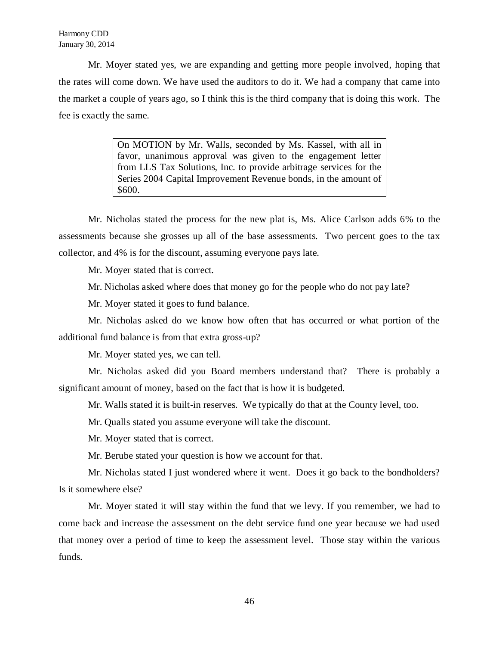Harmony CDD January 30, 2014

Mr. Moyer stated yes, we are expanding and getting more people involved, hoping that the rates will come down. We have used the auditors to do it. We had a company that came into the market a couple of years ago, so I think this is the third company that is doing this work. The fee is exactly the same.

> On MOTION by Mr. Walls, seconded by Ms. Kassel, with all in favor, unanimous approval was given to the engagement letter from LLS Tax Solutions, Inc. to provide arbitrage services for the Series 2004 Capital Improvement Revenue bonds, in the amount of \$600.

Mr. Nicholas stated the process for the new plat is, Ms. Alice Carlson adds 6% to the assessments because she grosses up all of the base assessments. Two percent goes to the tax collector, and 4% is for the discount, assuming everyone pays late.

Mr. Moyer stated that is correct.

Mr. Nicholas asked where does that money go for the people who do not pay late?

Mr. Moyer stated it goes to fund balance.

Mr. Nicholas asked do we know how often that has occurred or what portion of the additional fund balance is from that extra gross-up?

Mr. Moyer stated yes, we can tell.

Mr. Nicholas asked did you Board members understand that? There is probably a significant amount of money, based on the fact that is how it is budgeted.

Mr. Walls stated it is built-in reserves. We typically do that at the County level, too.

Mr. Qualls stated you assume everyone will take the discount.

Mr. Moyer stated that is correct.

Mr. Berube stated your question is how we account for that.

Mr. Nicholas stated I just wondered where it went. Does it go back to the bondholders? Is it somewhere else?

Mr. Moyer stated it will stay within the fund that we levy. If you remember, we had to come back and increase the assessment on the debt service fund one year because we had used that money over a period of time to keep the assessment level. Those stay within the various funds.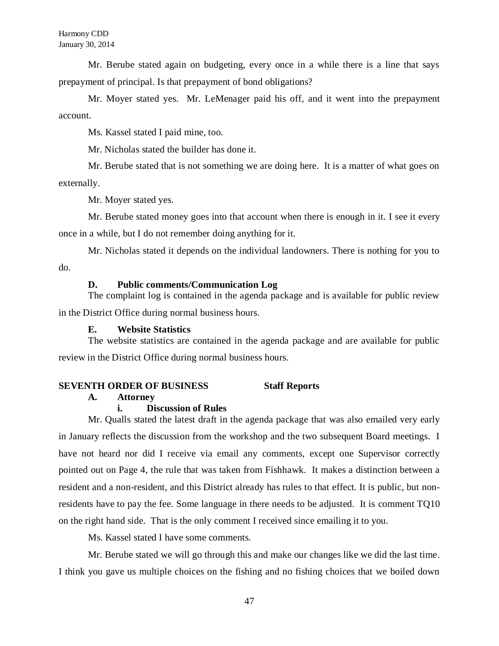Mr. Berube stated again on budgeting, every once in a while there is a line that says prepayment of principal. Is that prepayment of bond obligations?

Mr. Moyer stated yes. Mr. LeMenager paid his off, and it went into the prepayment account.

Ms. Kassel stated I paid mine, too.

Mr. Nicholas stated the builder has done it.

Mr. Berube stated that is not something we are doing here. It is a matter of what goes on externally.

Mr. Moyer stated yes.

Mr. Berube stated money goes into that account when there is enough in it. I see it every once in a while, but I do not remember doing anything for it.

Mr. Nicholas stated it depends on the individual landowners. There is nothing for you to do.

## **D. Public comments/Communication Log**

The complaint log is contained in the agenda package and is available for public review in the District Office during normal business hours.

## **E. Website Statistics**

The website statistics are contained in the agenda package and are available for public review in the District Office during normal business hours.

## **SEVENTH ORDER OF BUSINESS Staff Reports**

### **A. Attorney**

## **i. Discussion of Rules**

Mr. Qualls stated the latest draft in the agenda package that was also emailed very early in January reflects the discussion from the workshop and the two subsequent Board meetings. I have not heard nor did I receive via email any comments, except one Supervisor correctly pointed out on Page 4, the rule that was taken from Fishhawk. It makes a distinction between a resident and a non-resident, and this District already has rules to that effect. It is public, but nonresidents have to pay the fee. Some language in there needs to be adjusted. It is comment TQ10 on the right hand side. That is the only comment I received since emailing it to you.

Ms. Kassel stated I have some comments.

Mr. Berube stated we will go through this and make our changes like we did the last time. I think you gave us multiple choices on the fishing and no fishing choices that we boiled down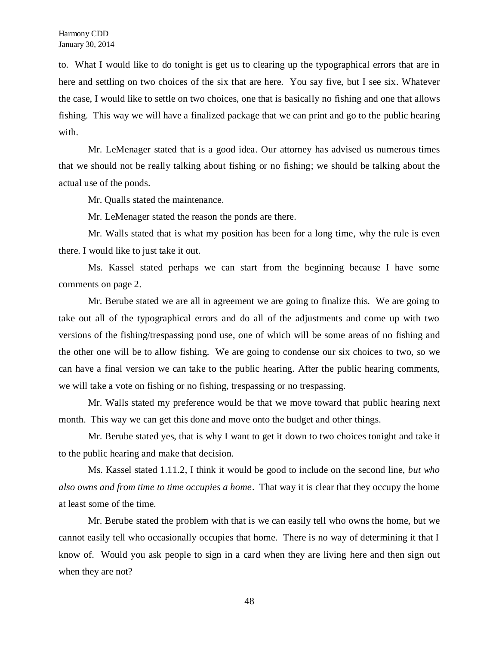to. What I would like to do tonight is get us to clearing up the typographical errors that are in here and settling on two choices of the six that are here. You say five, but I see six. Whatever the case, I would like to settle on two choices, one that is basically no fishing and one that allows fishing. This way we will have a finalized package that we can print and go to the public hearing with.

Mr. LeMenager stated that is a good idea. Our attorney has advised us numerous times that we should not be really talking about fishing or no fishing; we should be talking about the actual use of the ponds.

Mr. Qualls stated the maintenance.

Mr. LeMenager stated the reason the ponds are there.

Mr. Walls stated that is what my position has been for a long time, why the rule is even there. I would like to just take it out.

Ms. Kassel stated perhaps we can start from the beginning because I have some comments on page 2.

Mr. Berube stated we are all in agreement we are going to finalize this. We are going to take out all of the typographical errors and do all of the adjustments and come up with two versions of the fishing/trespassing pond use, one of which will be some areas of no fishing and the other one will be to allow fishing. We are going to condense our six choices to two, so we can have a final version we can take to the public hearing. After the public hearing comments, we will take a vote on fishing or no fishing, trespassing or no trespassing.

Mr. Walls stated my preference would be that we move toward that public hearing next month. This way we can get this done and move onto the budget and other things.

Mr. Berube stated yes, that is why I want to get it down to two choices tonight and take it to the public hearing and make that decision.

Ms. Kassel stated 1.11.2, I think it would be good to include on the second line, *but who also owns and from time to time occupies a home*. That way it is clear that they occupy the home at least some of the time.

Mr. Berube stated the problem with that is we can easily tell who owns the home, but we cannot easily tell who occasionally occupies that home. There is no way of determining it that I know of. Would you ask people to sign in a card when they are living here and then sign out when they are not?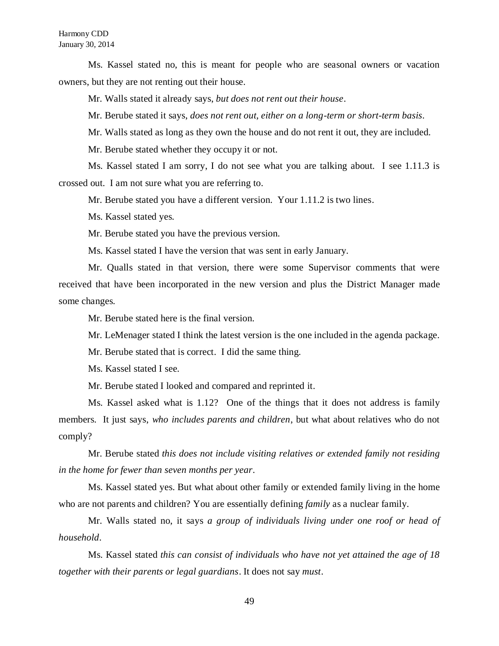Ms. Kassel stated no, this is meant for people who are seasonal owners or vacation owners, but they are not renting out their house.

Mr. Walls stated it already says, *but does not rent out their house*.

Mr. Berube stated it says, *does not rent out, either on a long-term or short-term basis*.

Mr. Walls stated as long as they own the house and do not rent it out, they are included.

Mr. Berube stated whether they occupy it or not.

Ms. Kassel stated I am sorry, I do not see what you are talking about. I see 1.11.3 is crossed out. I am not sure what you are referring to.

Mr. Berube stated you have a different version. Your 1.11.2 is two lines.

Ms. Kassel stated yes.

Mr. Berube stated you have the previous version.

Ms. Kassel stated I have the version that was sent in early January.

Mr. Qualls stated in that version, there were some Supervisor comments that were received that have been incorporated in the new version and plus the District Manager made some changes.

Mr. Berube stated here is the final version.

Mr. LeMenager stated I think the latest version is the one included in the agenda package.

Mr. Berube stated that is correct. I did the same thing.

Ms. Kassel stated I see.

Mr. Berube stated I looked and compared and reprinted it.

Ms. Kassel asked what is 1.12? One of the things that it does not address is family members. It just says, *who includes parents and children*, but what about relatives who do not comply?

Mr. Berube stated *this does not include visiting relatives or extended family not residing in the home for fewer than seven months per year*.

Ms. Kassel stated yes. But what about other family or extended family living in the home who are not parents and children? You are essentially defining *family* as a nuclear family.

Mr. Walls stated no, it says *a group of individuals living under one roof or head of household*.

Ms. Kassel stated *this can consist of individuals who have not yet attained the age of 18 together with their parents or legal guardians*. It does not say *must*.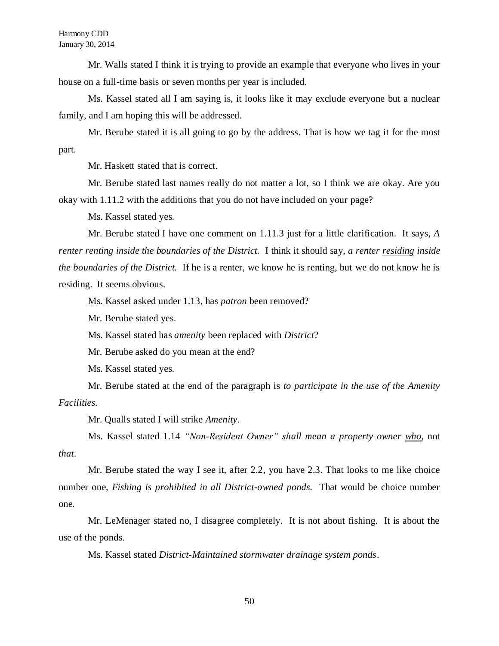Mr. Walls stated I think it is trying to provide an example that everyone who lives in your house on a full-time basis or seven months per year is included.

Ms. Kassel stated all I am saying is, it looks like it may exclude everyone but a nuclear family, and I am hoping this will be addressed.

Mr. Berube stated it is all going to go by the address. That is how we tag it for the most part.

Mr. Haskett stated that is correct.

Mr. Berube stated last names really do not matter a lot, so I think we are okay. Are you okay with 1.11.2 with the additions that you do not have included on your page?

Ms. Kassel stated yes.

Mr. Berube stated I have one comment on 1.11.3 just for a little clarification. It says, *A renter renting inside the boundaries of the District.* I think it should say, *a renter residing inside the boundaries of the District.* If he is a renter, we know he is renting, but we do not know he is residing. It seems obvious.

Ms. Kassel asked under 1.13, has *patron* been removed?

Mr. Berube stated yes.

Ms. Kassel stated has *amenity* been replaced with *District*?

Mr. Berube asked do you mean at the end?

Ms. Kassel stated yes.

Mr. Berube stated at the end of the paragraph is *to participate in the use of the Amenity Facilities.*

Mr. Qualls stated I will strike *Amenity*.

Ms. Kassel stated 1.14 *"Non-Resident Owner" shall mean a property owner who*, not *that*.

Mr. Berube stated the way I see it, after 2.2, you have 2.3. That looks to me like choice number one, *Fishing is prohibited in all District-owned ponds.* That would be choice number one.

Mr. LeMenager stated no, I disagree completely. It is not about fishing. It is about the use of the ponds.

Ms. Kassel stated *District-Maintained stormwater drainage system ponds*.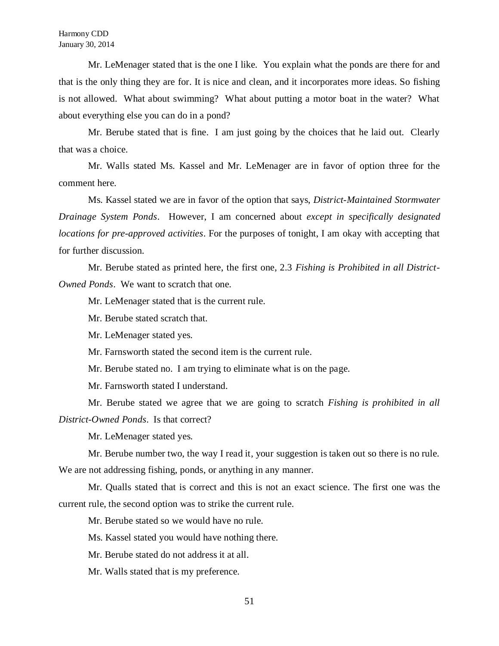Mr. LeMenager stated that is the one I like. You explain what the ponds are there for and that is the only thing they are for. It is nice and clean, and it incorporates more ideas. So fishing is not allowed. What about swimming? What about putting a motor boat in the water? What about everything else you can do in a pond?

Mr. Berube stated that is fine. I am just going by the choices that he laid out. Clearly that was a choice.

Mr. Walls stated Ms. Kassel and Mr. LeMenager are in favor of option three for the comment here.

Ms. Kassel stated we are in favor of the option that says, *District-Maintained Stormwater Drainage System Ponds*. However, I am concerned about *except in specifically designated locations for pre-approved activities*. For the purposes of tonight, I am okay with accepting that for further discussion.

Mr. Berube stated as printed here, the first one, 2.3 *Fishing is Prohibited in all District-Owned Ponds*. We want to scratch that one.

Mr. LeMenager stated that is the current rule.

Mr. Berube stated scratch that.

Mr. LeMenager stated yes.

Mr. Farnsworth stated the second item is the current rule.

Mr. Berube stated no. I am trying to eliminate what is on the page.

Mr. Farnsworth stated I understand.

Mr. Berube stated we agree that we are going to scratch *Fishing is prohibited in all District-Owned Ponds*. Is that correct?

Mr. LeMenager stated yes.

Mr. Berube number two, the way I read it, your suggestion is taken out so there is no rule.

We are not addressing fishing, ponds, or anything in any manner.

Mr. Qualls stated that is correct and this is not an exact science. The first one was the current rule, the second option was to strike the current rule.

Mr. Berube stated so we would have no rule.

Ms. Kassel stated you would have nothing there.

Mr. Berube stated do not address it at all.

Mr. Walls stated that is my preference.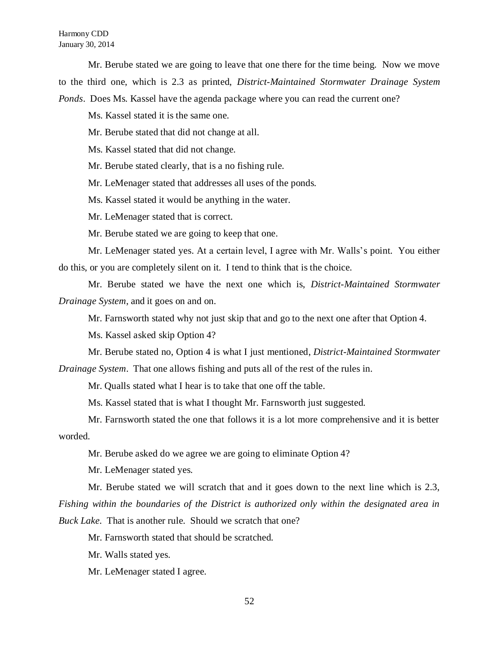### Harmony CDD January 30, 2014

Mr. Berube stated we are going to leave that one there for the time being. Now we move to the third one, which is 2.3 as printed, *District-Maintained Stormwater Drainage System Ponds*. Does Ms. Kassel have the agenda package where you can read the current one?

Ms. Kassel stated it is the same one.

Mr. Berube stated that did not change at all.

Ms. Kassel stated that did not change.

Mr. Berube stated clearly, that is a no fishing rule.

Mr. LeMenager stated that addresses all uses of the ponds.

Ms. Kassel stated it would be anything in the water.

Mr. LeMenager stated that is correct.

Mr. Berube stated we are going to keep that one.

Mr. LeMenager stated yes. At a certain level, I agree with Mr. Walls's point. You either do this, or you are completely silent on it. I tend to think that is the choice.

Mr. Berube stated we have the next one which is, *District-Maintained Stormwater Drainage System*, and it goes on and on.

Mr. Farnsworth stated why not just skip that and go to the next one after that Option 4.

Ms. Kassel asked skip Option 4?

Mr. Berube stated no, Option 4 is what I just mentioned, *District-Maintained Stormwater Drainage System*. That one allows fishing and puts all of the rest of the rules in.

Mr. Qualls stated what I hear is to take that one off the table.

Ms. Kassel stated that is what I thought Mr. Farnsworth just suggested.

Mr. Farnsworth stated the one that follows it is a lot more comprehensive and it is better worded.

Mr. Berube asked do we agree we are going to eliminate Option 4?

Mr. LeMenager stated yes.

Mr. Berube stated we will scratch that and it goes down to the next line which is 2.3, *Fishing within the boundaries of the District is authorized only within the designated area in Buck Lake.* That is another rule. Should we scratch that one?

Mr. Farnsworth stated that should be scratched.

Mr. Walls stated yes.

Mr. LeMenager stated I agree.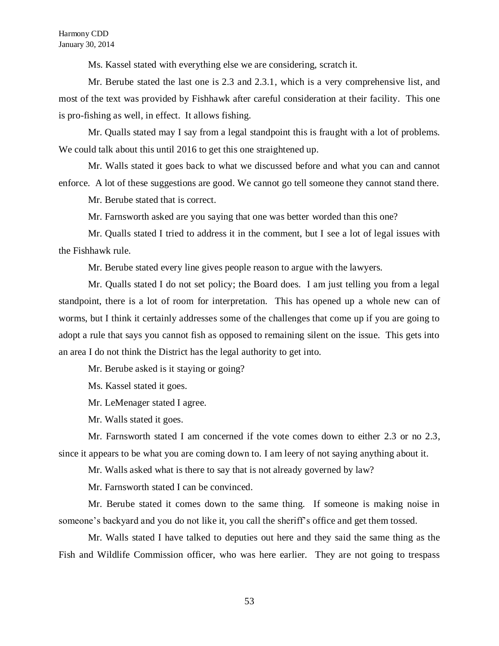Ms. Kassel stated with everything else we are considering, scratch it.

Mr. Berube stated the last one is 2.3 and 2.3.1, which is a very comprehensive list, and most of the text was provided by Fishhawk after careful consideration at their facility. This one is pro-fishing as well, in effect. It allows fishing.

Mr. Qualls stated may I say from a legal standpoint this is fraught with a lot of problems. We could talk about this until 2016 to get this one straightened up.

Mr. Walls stated it goes back to what we discussed before and what you can and cannot enforce. A lot of these suggestions are good. We cannot go tell someone they cannot stand there.

Mr. Berube stated that is correct.

Mr. Farnsworth asked are you saying that one was better worded than this one?

Mr. Qualls stated I tried to address it in the comment, but I see a lot of legal issues with the Fishhawk rule.

Mr. Berube stated every line gives people reason to argue with the lawyers.

Mr. Qualls stated I do not set policy; the Board does. I am just telling you from a legal standpoint, there is a lot of room for interpretation. This has opened up a whole new can of worms, but I think it certainly addresses some of the challenges that come up if you are going to adopt a rule that says you cannot fish as opposed to remaining silent on the issue. This gets into an area I do not think the District has the legal authority to get into.

Mr. Berube asked is it staying or going?

Ms. Kassel stated it goes.

Mr. LeMenager stated I agree.

Mr. Walls stated it goes.

Mr. Farnsworth stated I am concerned if the vote comes down to either 2.3 or no 2.3, since it appears to be what you are coming down to. I am leery of not saying anything about it.

Mr. Walls asked what is there to say that is not already governed by law?

Mr. Farnsworth stated I can be convinced.

Mr. Berube stated it comes down to the same thing. If someone is making noise in someone's backyard and you do not like it, you call the sheriff's office and get them tossed.

Mr. Walls stated I have talked to deputies out here and they said the same thing as the Fish and Wildlife Commission officer, who was here earlier. They are not going to trespass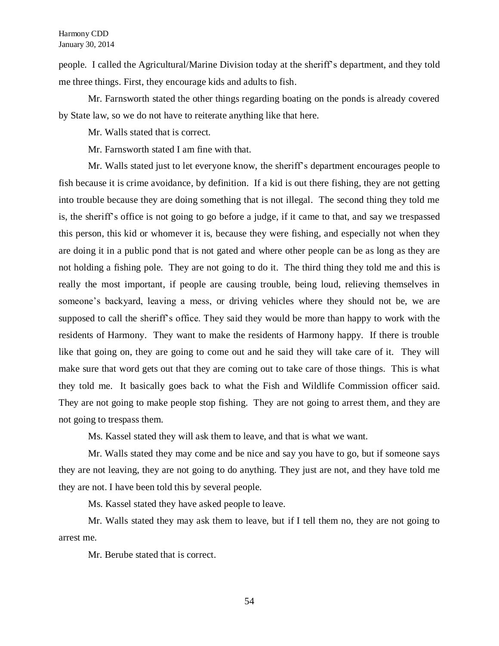people. I called the Agricultural/Marine Division today at the sheriff's department, and they told me three things. First, they encourage kids and adults to fish.

Mr. Farnsworth stated the other things regarding boating on the ponds is already covered by State law, so we do not have to reiterate anything like that here.

Mr. Walls stated that is correct.

Mr. Farnsworth stated I am fine with that.

Mr. Walls stated just to let everyone know, the sheriff's department encourages people to fish because it is crime avoidance, by definition. If a kid is out there fishing, they are not getting into trouble because they are doing something that is not illegal. The second thing they told me is, the sheriff's office is not going to go before a judge, if it came to that, and say we trespassed this person, this kid or whomever it is, because they were fishing, and especially not when they are doing it in a public pond that is not gated and where other people can be as long as they are not holding a fishing pole. They are not going to do it. The third thing they told me and this is really the most important, if people are causing trouble, being loud, relieving themselves in someone's backyard, leaving a mess, or driving vehicles where they should not be, we are supposed to call the sheriff's office. They said they would be more than happy to work with the residents of Harmony. They want to make the residents of Harmony happy. If there is trouble like that going on, they are going to come out and he said they will take care of it. They will make sure that word gets out that they are coming out to take care of those things. This is what they told me. It basically goes back to what the Fish and Wildlife Commission officer said. They are not going to make people stop fishing. They are not going to arrest them, and they are not going to trespass them.

Ms. Kassel stated they will ask them to leave, and that is what we want.

Mr. Walls stated they may come and be nice and say you have to go, but if someone says they are not leaving, they are not going to do anything. They just are not, and they have told me they are not. I have been told this by several people.

Ms. Kassel stated they have asked people to leave.

Mr. Walls stated they may ask them to leave, but if I tell them no, they are not going to arrest me.

Mr. Berube stated that is correct.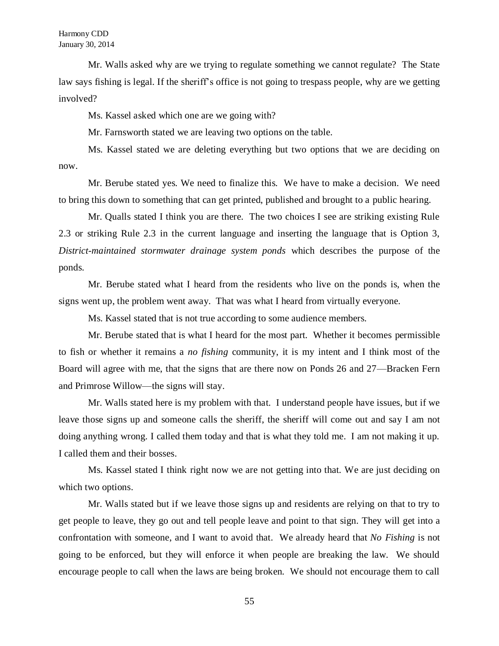Mr. Walls asked why are we trying to regulate something we cannot regulate? The State law says fishing is legal. If the sheriff's office is not going to trespass people, why are we getting involved?

Ms. Kassel asked which one are we going with?

Mr. Farnsworth stated we are leaving two options on the table.

Ms. Kassel stated we are deleting everything but two options that we are deciding on now.

Mr. Berube stated yes. We need to finalize this. We have to make a decision. We need to bring this down to something that can get printed, published and brought to a public hearing.

Mr. Qualls stated I think you are there. The two choices I see are striking existing Rule 2.3 or striking Rule 2.3 in the current language and inserting the language that is Option 3, *District-maintained stormwater drainage system ponds* which describes the purpose of the ponds.

Mr. Berube stated what I heard from the residents who live on the ponds is, when the signs went up, the problem went away. That was what I heard from virtually everyone.

Ms. Kassel stated that is not true according to some audience members.

Mr. Berube stated that is what I heard for the most part. Whether it becomes permissible to fish or whether it remains a *no fishing* community, it is my intent and I think most of the Board will agree with me, that the signs that are there now on Ponds 26 and 27—Bracken Fern and Primrose Willow—the signs will stay.

Mr. Walls stated here is my problem with that. I understand people have issues, but if we leave those signs up and someone calls the sheriff, the sheriff will come out and say I am not doing anything wrong. I called them today and that is what they told me. I am not making it up. I called them and their bosses.

Ms. Kassel stated I think right now we are not getting into that. We are just deciding on which two options.

Mr. Walls stated but if we leave those signs up and residents are relying on that to try to get people to leave, they go out and tell people leave and point to that sign. They will get into a confrontation with someone, and I want to avoid that. We already heard that *No Fishing* is not going to be enforced, but they will enforce it when people are breaking the law. We should encourage people to call when the laws are being broken. We should not encourage them to call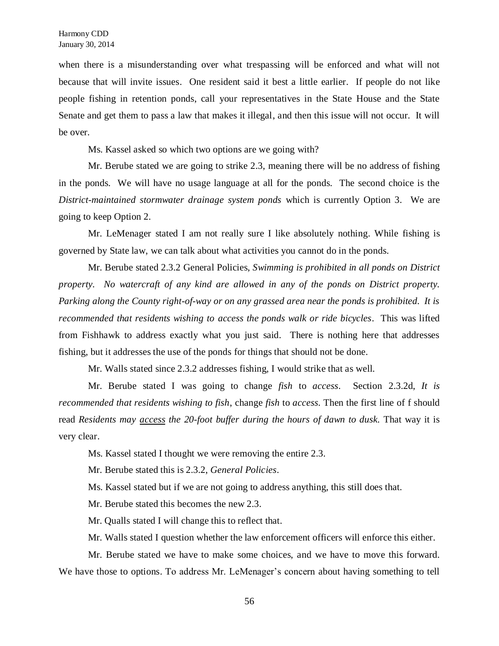when there is a misunderstanding over what trespassing will be enforced and what will not because that will invite issues. One resident said it best a little earlier. If people do not like people fishing in retention ponds, call your representatives in the State House and the State Senate and get them to pass a law that makes it illegal, and then this issue will not occur. It will be over.

Ms. Kassel asked so which two options are we going with?

Mr. Berube stated we are going to strike 2.3, meaning there will be no address of fishing in the ponds. We will have no usage language at all for the ponds. The second choice is the *District-maintained stormwater drainage system ponds* which is currently Option 3. We are going to keep Option 2.

Mr. LeMenager stated I am not really sure I like absolutely nothing. While fishing is governed by State law, we can talk about what activities you cannot do in the ponds.

Mr. Berube stated 2.3.2 General Policies, *Swimming is prohibited in all ponds on District property. No watercraft of any kind are allowed in any of the ponds on District property. Parking along the County right-of-way or on any grassed area near the ponds is prohibited. It is recommended that residents wishing to access the ponds walk or ride bicycles*. This was lifted from Fishhawk to address exactly what you just said. There is nothing here that addresses fishing, but it addresses the use of the ponds for things that should not be done.

Mr. Walls stated since 2.3.2 addresses fishing, I would strike that as well.

Mr. Berube stated I was going to change *fish* to *access*. Section 2.3.2d, *It is recommended that residents wishing to fish*, change *fish* to *access.* Then the first line of f should read *Residents may access the 20-foot buffer during the hours of dawn to dusk.* That way it is very clear.

Ms. Kassel stated I thought we were removing the entire 2.3.

Mr. Berube stated this is 2.3.2, *General Policies*.

Ms. Kassel stated but if we are not going to address anything, this still does that.

Mr. Berube stated this becomes the new 2.3.

Mr. Qualls stated I will change this to reflect that.

Mr. Walls stated I question whether the law enforcement officers will enforce this either.

Mr. Berube stated we have to make some choices, and we have to move this forward. We have those to options. To address Mr. LeMenager's concern about having something to tell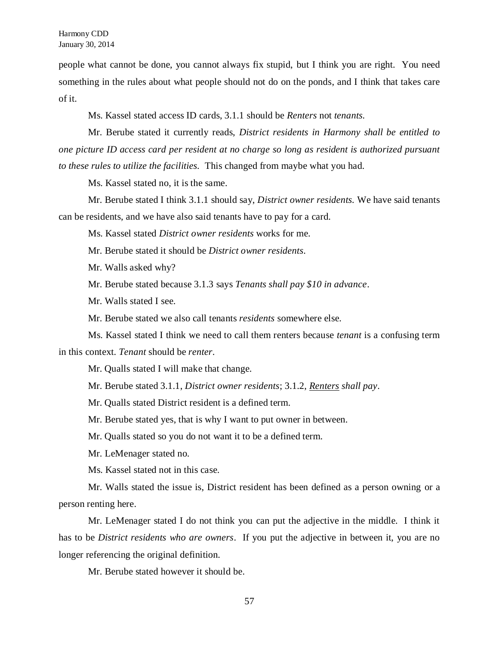people what cannot be done, you cannot always fix stupid, but I think you are right. You need something in the rules about what people should not do on the ponds, and I think that takes care of it.

Ms. Kassel stated access ID cards, 3.1.1 should be *Renters* not *tenants.*

Mr. Berube stated it currently reads, *District residents in Harmony shall be entitled to one picture ID access card per resident at no charge so long as resident is authorized pursuant to these rules to utilize the facilities.* This changed from maybe what you had.

Ms. Kassel stated no, it is the same.

Mr. Berube stated I think 3.1.1 should say, *District owner residents.* We have said tenants can be residents, and we have also said tenants have to pay for a card.

Ms. Kassel stated *District owner residents* works for me.

Mr. Berube stated it should be *District owner residents*.

Mr. Walls asked why?

Mr. Berube stated because 3.1.3 says *Tenants shall pay \$10 in advance*.

Mr. Walls stated I see.

Mr. Berube stated we also call tenants *residents* somewhere else.

Ms. Kassel stated I think we need to call them renters because *tenant* is a confusing term in this context. *Tenant* should be *renter*.

Mr. Qualls stated I will make that change.

Mr. Berube stated 3.1.1, *District owner residents*; 3.1.2, *Renters shall pay*.

Mr. Qualls stated District resident is a defined term.

Mr. Berube stated yes, that is why I want to put owner in between.

Mr. Qualls stated so you do not want it to be a defined term.

Mr. LeMenager stated no.

Ms. Kassel stated not in this case.

Mr. Walls stated the issue is, District resident has been defined as a person owning or a person renting here.

Mr. LeMenager stated I do not think you can put the adjective in the middle. I think it has to be *District residents who are owners*. If you put the adjective in between it, you are no longer referencing the original definition.

Mr. Berube stated however it should be.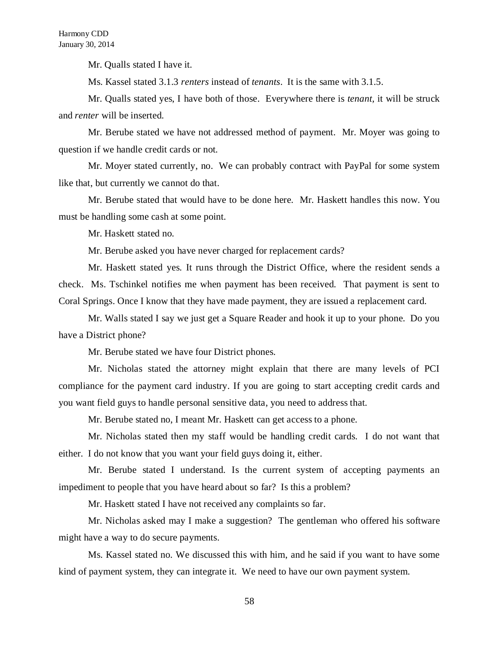Mr. Qualls stated I have it.

Ms. Kassel stated 3.1.3 *renters* instead of *tenants*. It is the same with 3.1.5.

Mr. Qualls stated yes, I have both of those. Everywhere there is *tenant,* it will be struck and *renter* will be inserted.

Mr. Berube stated we have not addressed method of payment. Mr. Moyer was going to question if we handle credit cards or not.

Mr. Moyer stated currently, no. We can probably contract with PayPal for some system like that, but currently we cannot do that.

Mr. Berube stated that would have to be done here. Mr. Haskett handles this now. You must be handling some cash at some point.

Mr. Haskett stated no.

Mr. Berube asked you have never charged for replacement cards?

Mr. Haskett stated yes. It runs through the District Office, where the resident sends a check. Ms. Tschinkel notifies me when payment has been received. That payment is sent to Coral Springs. Once I know that they have made payment, they are issued a replacement card.

Mr. Walls stated I say we just get a Square Reader and hook it up to your phone. Do you have a District phone?

Mr. Berube stated we have four District phones.

Mr. Nicholas stated the attorney might explain that there are many levels of PCI compliance for the payment card industry. If you are going to start accepting credit cards and you want field guys to handle personal sensitive data, you need to address that.

Mr. Berube stated no, I meant Mr. Haskett can get access to a phone.

Mr. Nicholas stated then my staff would be handling credit cards. I do not want that either. I do not know that you want your field guys doing it, either.

Mr. Berube stated I understand. Is the current system of accepting payments an impediment to people that you have heard about so far? Is this a problem?

Mr. Haskett stated I have not received any complaints so far.

Mr. Nicholas asked may I make a suggestion? The gentleman who offered his software might have a way to do secure payments.

Ms. Kassel stated no. We discussed this with him, and he said if you want to have some kind of payment system, they can integrate it. We need to have our own payment system.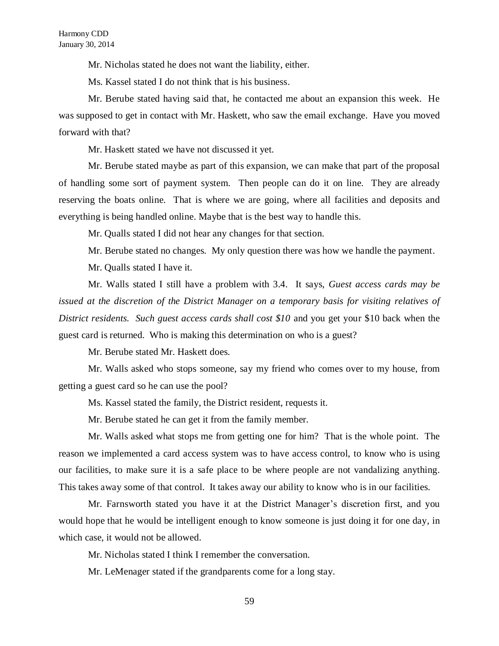Mr. Nicholas stated he does not want the liability, either.

Ms. Kassel stated I do not think that is his business.

Mr. Berube stated having said that, he contacted me about an expansion this week. He was supposed to get in contact with Mr. Haskett, who saw the email exchange. Have you moved forward with that?

Mr. Haskett stated we have not discussed it yet.

Mr. Berube stated maybe as part of this expansion, we can make that part of the proposal of handling some sort of payment system. Then people can do it on line. They are already reserving the boats online. That is where we are going, where all facilities and deposits and everything is being handled online. Maybe that is the best way to handle this.

Mr. Qualls stated I did not hear any changes for that section.

Mr. Berube stated no changes. My only question there was how we handle the payment.

Mr. Qualls stated I have it.

Mr. Walls stated I still have a problem with 3.4. It says, *Guest access cards may be issued at the discretion of the District Manager on a temporary basis for visiting relatives of District residents. Such guest access cards shall cost \$10* and you get your \$10 back when the guest card is returned. Who is making this determination on who is a guest?

Mr. Berube stated Mr. Haskett does.

Mr. Walls asked who stops someone, say my friend who comes over to my house, from getting a guest card so he can use the pool?

Ms. Kassel stated the family, the District resident, requests it.

Mr. Berube stated he can get it from the family member.

Mr. Walls asked what stops me from getting one for him? That is the whole point. The reason we implemented a card access system was to have access control, to know who is using our facilities, to make sure it is a safe place to be where people are not vandalizing anything. This takes away some of that control. It takes away our ability to know who is in our facilities.

Mr. Farnsworth stated you have it at the District Manager's discretion first, and you would hope that he would be intelligent enough to know someone is just doing it for one day, in which case, it would not be allowed.

Mr. Nicholas stated I think I remember the conversation.

Mr. LeMenager stated if the grandparents come for a long stay.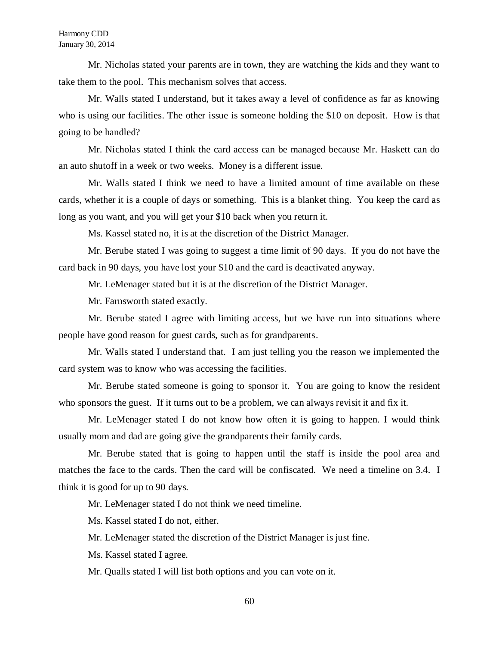Mr. Nicholas stated your parents are in town, they are watching the kids and they want to take them to the pool. This mechanism solves that access.

Mr. Walls stated I understand, but it takes away a level of confidence as far as knowing who is using our facilities. The other issue is someone holding the \$10 on deposit. How is that going to be handled?

Mr. Nicholas stated I think the card access can be managed because Mr. Haskett can do an auto shutoff in a week or two weeks. Money is a different issue.

Mr. Walls stated I think we need to have a limited amount of time available on these cards, whether it is a couple of days or something. This is a blanket thing. You keep the card as long as you want, and you will get your \$10 back when you return it.

Ms. Kassel stated no, it is at the discretion of the District Manager.

Mr. Berube stated I was going to suggest a time limit of 90 days. If you do not have the card back in 90 days, you have lost your \$10 and the card is deactivated anyway.

Mr. LeMenager stated but it is at the discretion of the District Manager.

Mr. Farnsworth stated exactly.

Mr. Berube stated I agree with limiting access, but we have run into situations where people have good reason for guest cards, such as for grandparents.

Mr. Walls stated I understand that. I am just telling you the reason we implemented the card system was to know who was accessing the facilities.

Mr. Berube stated someone is going to sponsor it. You are going to know the resident who sponsors the guest. If it turns out to be a problem, we can always revisit it and fix it.

Mr. LeMenager stated I do not know how often it is going to happen. I would think usually mom and dad are going give the grandparents their family cards.

Mr. Berube stated that is going to happen until the staff is inside the pool area and matches the face to the cards. Then the card will be confiscated. We need a timeline on 3.4. I think it is good for up to 90 days.

Mr. LeMenager stated I do not think we need timeline.

Ms. Kassel stated I do not, either.

Mr. LeMenager stated the discretion of the District Manager is just fine.

Ms. Kassel stated I agree.

Mr. Qualls stated I will list both options and you can vote on it.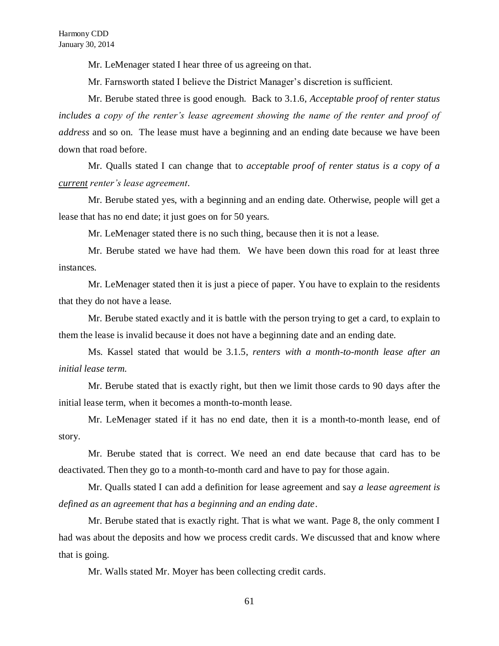Mr. LeMenager stated I hear three of us agreeing on that.

Mr. Farnsworth stated I believe the District Manager's discretion is sufficient.

Mr. Berube stated three is good enough. Back to 3.1.6, *Acceptable proof of renter status includes a copy of the renter's lease agreement showing the name of the renter and proof of address* and so on. The lease must have a beginning and an ending date because we have been down that road before.

Mr. Qualls stated I can change that to *acceptable proof of renter status is a copy of a current renter's lease agreement*.

Mr. Berube stated yes, with a beginning and an ending date. Otherwise, people will get a lease that has no end date; it just goes on for 50 years.

Mr. LeMenager stated there is no such thing, because then it is not a lease.

Mr. Berube stated we have had them. We have been down this road for at least three instances.

Mr. LeMenager stated then it is just a piece of paper. You have to explain to the residents that they do not have a lease.

Mr. Berube stated exactly and it is battle with the person trying to get a card, to explain to them the lease is invalid because it does not have a beginning date and an ending date.

Ms. Kassel stated that would be 3.1.5, *renters with a month-to-month lease after an initial lease term.*

Mr. Berube stated that is exactly right, but then we limit those cards to 90 days after the initial lease term, when it becomes a month-to-month lease.

Mr. LeMenager stated if it has no end date, then it is a month-to-month lease, end of story.

Mr. Berube stated that is correct. We need an end date because that card has to be deactivated. Then they go to a month-to-month card and have to pay for those again.

Mr. Qualls stated I can add a definition for lease agreement and say *a lease agreement is defined as an agreement that has a beginning and an ending date*.

Mr. Berube stated that is exactly right. That is what we want. Page 8, the only comment I had was about the deposits and how we process credit cards. We discussed that and know where that is going.

Mr. Walls stated Mr. Moyer has been collecting credit cards.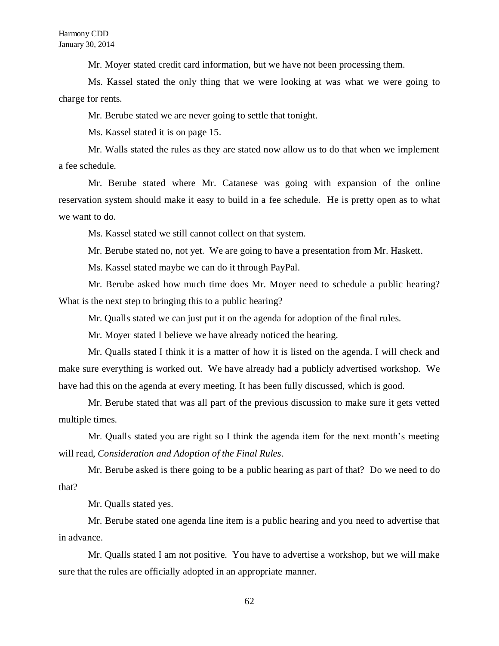Mr. Moyer stated credit card information, but we have not been processing them.

Ms. Kassel stated the only thing that we were looking at was what we were going to charge for rents.

Mr. Berube stated we are never going to settle that tonight.

Ms. Kassel stated it is on page 15.

Mr. Walls stated the rules as they are stated now allow us to do that when we implement a fee schedule.

Mr. Berube stated where Mr. Catanese was going with expansion of the online reservation system should make it easy to build in a fee schedule. He is pretty open as to what we want to do.

Ms. Kassel stated we still cannot collect on that system.

Mr. Berube stated no, not yet. We are going to have a presentation from Mr. Haskett.

Ms. Kassel stated maybe we can do it through PayPal.

Mr. Berube asked how much time does Mr. Moyer need to schedule a public hearing? What is the next step to bringing this to a public hearing?

Mr. Qualls stated we can just put it on the agenda for adoption of the final rules.

Mr. Moyer stated I believe we have already noticed the hearing.

Mr. Qualls stated I think it is a matter of how it is listed on the agenda. I will check and make sure everything is worked out. We have already had a publicly advertised workshop. We have had this on the agenda at every meeting. It has been fully discussed, which is good.

Mr. Berube stated that was all part of the previous discussion to make sure it gets vetted multiple times.

Mr. Qualls stated you are right so I think the agenda item for the next month's meeting will read, *Consideration and Adoption of the Final Rules*.

Mr. Berube asked is there going to be a public hearing as part of that? Do we need to do that?

Mr. Qualls stated yes.

Mr. Berube stated one agenda line item is a public hearing and you need to advertise that in advance.

Mr. Qualls stated I am not positive. You have to advertise a workshop, but we will make sure that the rules are officially adopted in an appropriate manner.